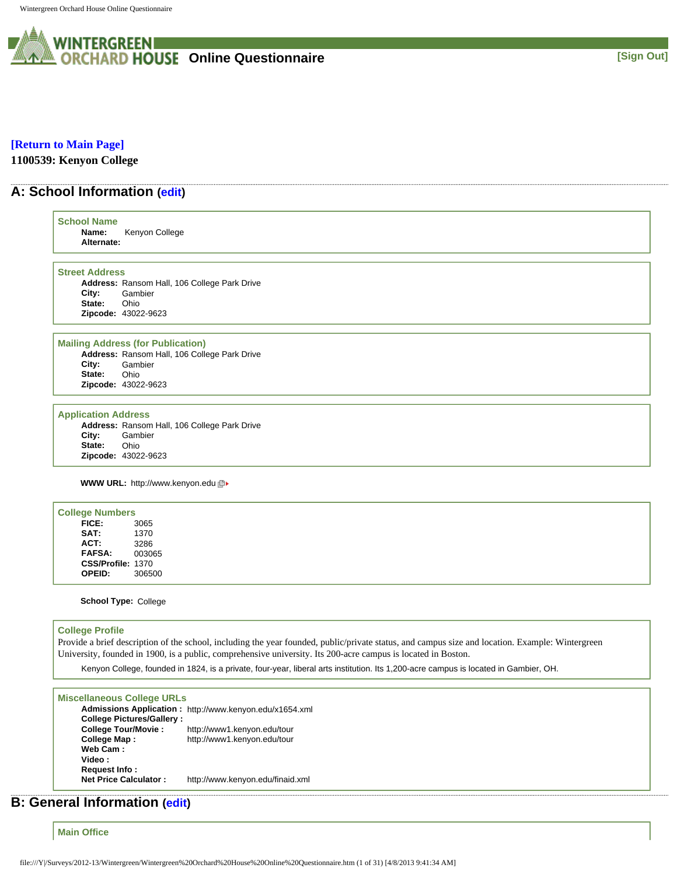

## **[\[Return to Main Page\]](http://survey.wgoh.com/secure/contents.htm)**

**1100539: Kenyon College** 

## **A: School Information ([edit](http://survey.wgoh.com/secure/sectionAView.htm))**

| <b>School Name</b>         |                                              |
|----------------------------|----------------------------------------------|
| Name:                      | Kenyon College                               |
| Alternate:                 |                                              |
|                            |                                              |
| <b>Street Address</b>      |                                              |
|                            | Address: Ransom Hall, 106 College Park Drive |
| City:                      | Gambier                                      |
| State:                     | Ohio                                         |
| Zipcode: 43022-9623        |                                              |
|                            |                                              |
|                            | <b>Mailing Address (for Publication)</b>     |
|                            | Address: Ransom Hall, 106 College Park Drive |
| City:                      | Gambier                                      |
| State:                     | Ohio                                         |
| Zipcode: 43022-9623        |                                              |
|                            |                                              |
| <b>Application Address</b> |                                              |
|                            | Address: Ransom Hall, 106 College Park Drive |
| City:<br>State:            | Gambier<br>Ohio                              |
| Zipcode: 43022-9623        |                                              |
|                            |                                              |
|                            | <b>WWW URL: http://www.kenyon.edu</b> 回▶     |
|                            |                                              |
| <b>College Numbers</b>     |                                              |
| FICE:                      | 3065                                         |
| SAT:                       | 1370                                         |
| ACT:                       | 3286                                         |
| <b>FAFSA:</b>              | 003065                                       |

**School Type:** College

**CSS/Profile:** 1370 **OPEID:** 306500

## **College Profile**

Provide a brief description of the school, including the year founded, public/private status, and campus size and location. Example: Wintergreen University, founded in 1900, is a public, comprehensive university. Its 200-acre campus is located in Boston.

Kenyon College, founded in 1824, is a private, four-year, liberal arts institution. Its 1,200-acre campus is located in Gambier, OH.

### **Miscellaneous College URLs**

**Admissions Application :** http://www.kenyon.edu/x1654.xml **College Pictures/Gallery : College Tour/Movie :** http://www1.kenyon.edu/tour **College Map :** http://www1.kenyon.edu/tour **Web Cam : Video : Request Info : Net Price Calculator :** http://www.kenyon.edu/finaid.xml

# **B: General Information [\(edit](http://survey.wgoh.com/secure/sectionBView.htm))**

**Main Office**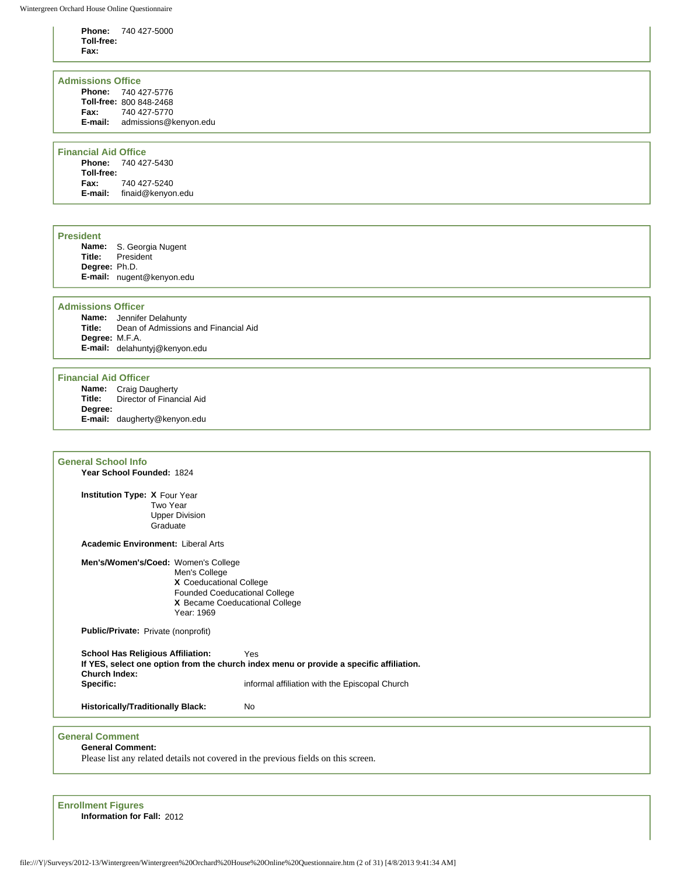**Phone:** 740 427-5000 **Toll-free: Fax:**

### **Admissions Office**

|         | <b>Phone: 740 427-5776</b> |
|---------|----------------------------|
|         | Toll-free: 800 848-2468    |
| Fax:    | 740 427-5770               |
| E-mail: | admissions@kenyon.edu      |

### **Financial Aid Office**

**Phone:** 740 427-5430 **Toll-free: Fax:** 740 427-5240 **E-mail:** finaid@kenyon.edu

### **President**

**Name:** S. Georgia Nugent **President Degree:** Ph.D. **E-mail:** nugent@kenyon.edu

### **Admissions Officer**

**Name:** Jennifer Delahunty **Title:** Dean of Admissions and Financial Aid **Degree:** M.F.A. **E-mail:** delahuntyj@kenyon.edu

### **Financial Aid Officer**

**Name:** Craig Daugherty<br>**Title:** Director of Finan **Director of Financial Aid Degree: E-mail:** daugherty@kenyon.edu

## **General School Info**

**Year School Founded:** 1824

**Institution Type: X** Four Year Two Year Upper Division **Graduate** 

**Academic Environment:** Liberal Arts

**Men's/Women's/Coed:** Women's College

Men's College **X** Coeducational College Founded Coeducational College **X** Became Coeducational College Year: 1969

**Public/Private:** Private (nonprofit)

**School Has Religious Affiliation:** Yes **If YES, select one option from the church index menu or provide a specific affiliation. Church Index:** informal affiliation with the Episcopal Church

**Historically/Traditionally Black:** No

## **General Comment**

**General Comment:** 

Please list any related details not covered in the previous fields on this screen.

**Enrollment Figures Information for Fall:** 2012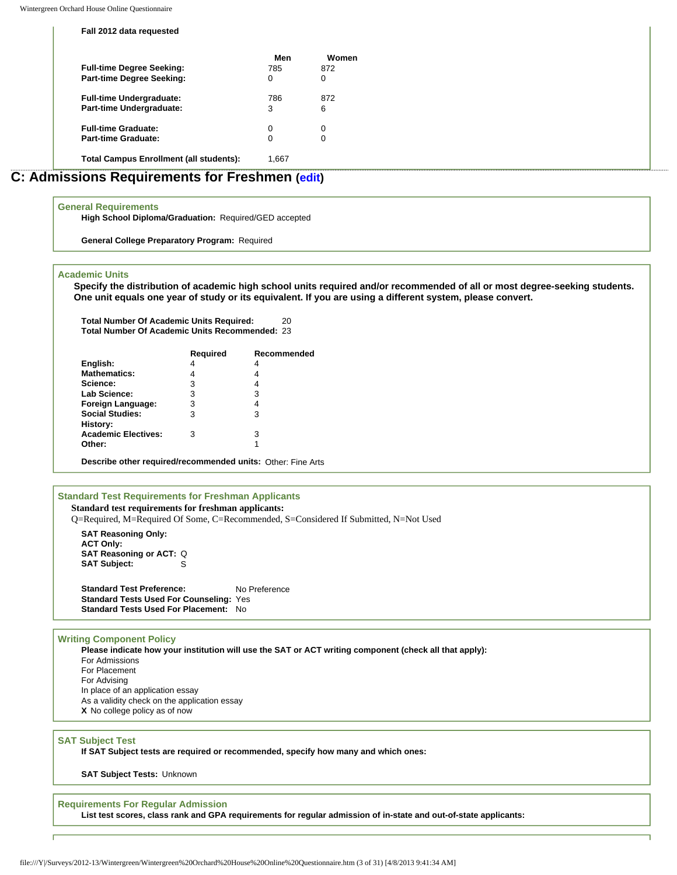**Fall 2012 data requested**

| <b>Full-time Degree Seeking:</b><br><b>Part-time Degree Seeking:</b> | Men<br>785<br>0 | Women<br>872<br>0 |
|----------------------------------------------------------------------|-----------------|-------------------|
| <b>Full-time Undergraduate:</b>                                      | 786             | 872               |
| Part-time Undergraduate:                                             | 3               | 6                 |
| <b>Full-time Graduate:</b>                                           | 0               | 0                 |
| <b>Part-time Graduate:</b>                                           | 0               | 0                 |
| <b>Total Campus Enrollment (all students):</b>                       | 1,667           |                   |

## **C: Admissions Requirements for Freshmen [\(edit\)](http://survey.wgoh.com/secure/sectionCView.htm)**

#### **General Requirements**

**High School Diploma/Graduation:** Required/GED accepted

**General College Preparatory Program:** Required

### **Academic Units**

**Specify the distribution of academic high school units required and/or recommended of all or most degree-seeking students. One unit equals one year of study or its equivalent. If you are using a different system, please convert.** 

**Total Number Of Academic Units Required:** 20 **Total Number Of Academic Units Recommended:** 23

|                            | <b>Required</b> | Recommended |
|----------------------------|-----------------|-------------|
| English:                   | 4               | 4           |
| <b>Mathematics:</b>        | 4               | 4           |
| Science:                   | 3               | 4           |
| <b>Lab Science:</b>        | 3               | 3           |
| Foreign Language:          | 3               | 4           |
| <b>Social Studies:</b>     | 3               | 3           |
| History:                   |                 |             |
| <b>Academic Electives:</b> | з               | 3           |
| Other:                     |                 |             |
|                            |                 |             |

**Describe other required/recommended units:** Other: Fine Arts

## **Standard Test Requirements for Freshman Applicants**

**Standard test requirements for freshman applicants:** Q=Required, M=Required Of Some, C=Recommended, S=Considered If Submitted, N=Not Used

**SAT Reasoning Only: ACT Only: SAT Reasoning or ACT: Q**<br>**SAT Subject:** S **SAT Subject:** 

**Standard Test Preference:** No Preference **Standard Tests Used For Counseling:** Yes **Standard Tests Used For Placement:** No

#### **Writing Component Policy**

**Please indicate how your institution will use the SAT or ACT writing component (check all that apply):** For Admissions For Placement For Advising In place of an application essay As a validity check on the application essay **X** No college policy as of now

## **SAT Subject Test**

**If SAT Subject tests are required or recommended, specify how many and which ones:** 

**SAT Subject Tests:** Unknown

#### **Requirements For Regular Admission**

**List test scores, class rank and GPA requirements for regular admission of in-state and out-of-state applicants:**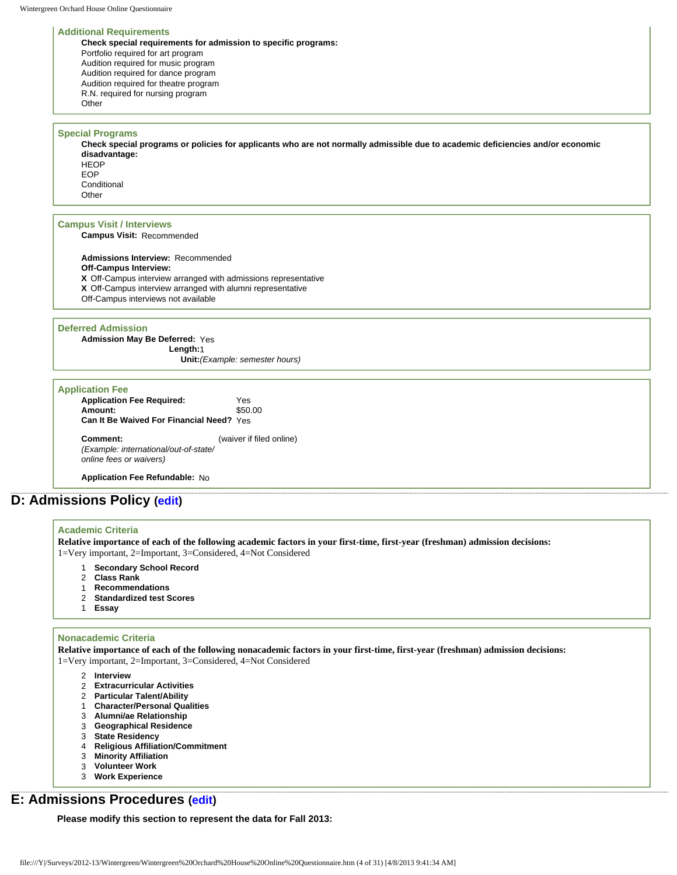#### **Additional Requirements**

**Check special requirements for admission to specific programs:** Portfolio required for art program Audition required for music program Audition required for dance program Audition required for theatre program R.N. required for nursing program **Other** 

#### **Special Programs**

**Check special programs or policies for applicants who are not normally admissible due to academic deficiencies and/or economic disadvantage: HFOP** EOP

**Conditional Other** 

## **Campus Visit / Interviews**

**Campus Visit:** Recommended

**Admissions Interview:** Recommended **Off-Campus Interview: X** Off-Campus interview arranged with admissions representative **X** Off-Campus interview arranged with alumni representative Off-Campus interviews not available

#### **Deferred Admission**

**Admission May Be Deferred:** Yes **Length:**1 **Unit:***(Example: semester hours)*

| <b>Application Fee</b>                          |                          |
|-------------------------------------------------|--------------------------|
| <b>Application Fee Required:</b>                | Yes                      |
| Amount:                                         | \$50.00                  |
| <b>Can It Be Waived For Financial Need? Yes</b> |                          |
| Comment:                                        | (waiver if filed online) |

*(Example: international/out-of-state/ online fees or waivers)*

**Application Fee Refundable:** No

## **D: Admissions Policy ([edit\)](http://survey.wgoh.com/secure/sectionDView.htm)**

#### **Academic Criteria**

**Relative importance of each of the following academic factors in your first-time, first-year (freshman) admission decisions:** 1=Very important, 2=Important, 3=Considered, 4=Not Considered

- 1 **Secondary School Record**
- 2 **Class Rank**
- 1 **Recommendations**
- 2 **Standardized test Scores**
- 1 **Essay**

#### **Nonacademic Criteria**

**Relative importance of each of the following nonacademic factors in your first-time, first-year (freshman) admission decisions:** 1=Very important, 2=Important, 3=Considered, 4=Not Considered

- 2 **Interview**
- 2 **Extracurricular Activities**
- 2 **Particular Talent/Ability**
- 1 **Character/Personal Qualities**
- 3 **Alumni/ae Relationship**
- 3 **Geographical Residence**
- 3 **State Residency**
- 4 **Religious Affiliation/Commitment**
- 3 **Minority Affiliation**
- 3 **Volunteer Work**
- 3 **Work Experience**

## **E: Admissions Procedures ([edit](http://survey.wgoh.com/secure/sectionEView.htm))**

**Please modify this section to represent the data for Fall 2013:**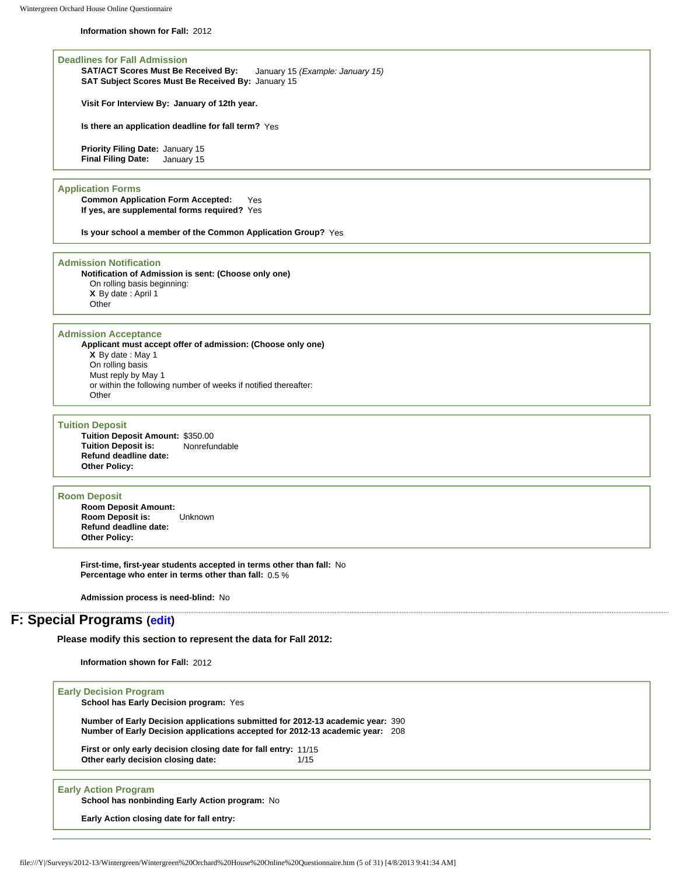**Information shown for Fall:** 2012

**Deadlines for Fall Admission SAT/ACT Scores Must Be Received By:** January 15 *(Example: January 15)* **SAT Subject Scores Must Be Received By:** January 15

**Visit For Interview By: January of 12th year.**

**Is there an application deadline for fall term?** Yes

**Priority Filing Date:** January 15 **Final Filing Date:** January 15

### **Application Forms**

**Common Application Form Accepted:** Yes **If yes, are supplemental forms required?** Yes

**Is your school a member of the Common Application Group?** Yes

#### **Admission Notification**

**Notification of Admission is sent: (Choose only one)** On rolling basis beginning: **X** By date : April 1 **Other** 

#### **Admission Acceptance**

**Applicant must accept offer of admission: (Choose only one) X** By date : May 1 On rolling basis Must reply by May 1 or within the following number of weeks if notified thereafter: **Other** 

#### **Tuition Deposit**

**Tuition Deposit Amount: \$350.00<br><b>Tuition Deposit is:** Nonrefundable **Tuition Deposit is: Refund deadline date: Other Policy:**

#### **Room Deposit**

**Room Deposit Amount: Room Deposit is:** Unknown **Refund deadline date: Other Policy:**

**First-time, first-year students accepted in terms other than fall:** No **Percentage who enter in terms other than fall:** 0.5 %

**Admission process is need-blind:** No

## **F: Special Programs [\(edit\)](http://survey.wgoh.com/secure/sectionFView.htm)**

**Please modify this section to represent the data for Fall 2012:** 

**Information shown for Fall:** 2012

**Early Action closing date for fall entry:**

| <b>Early Decision Program</b><br>School has Early Decision program: Yes                                                                                         |      |
|-----------------------------------------------------------------------------------------------------------------------------------------------------------------|------|
| Number of Early Decision applications submitted for 2012-13 academic year: 390<br>Number of Early Decision applications accepted for 2012-13 academic year: 208 |      |
| First or only early decision closing date for fall entry: 11/15<br>Other early decision closing date:                                                           | 1/15 |
| <b>Early Action Program</b><br>School has nonbinding Early Action program: No                                                                                   |      |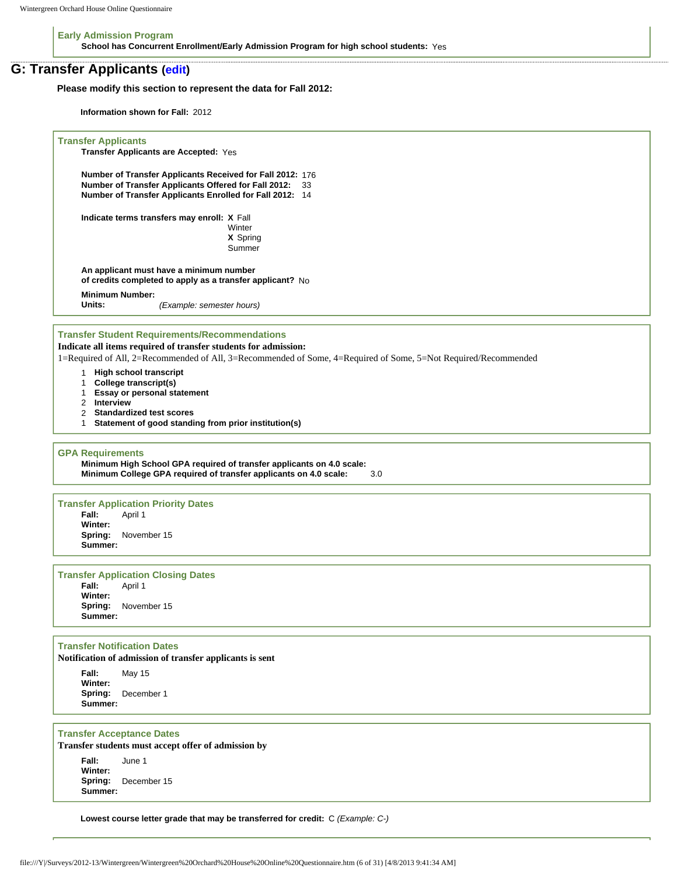**Early Admission Program School has Concurrent Enrollment/Early Admission Program for high school students:** Yes

## **G: Transfer Applicants ([edit](http://survey.wgoh.com/secure/sectionGView.htm))**

**Please modify this section to represent the data for Fall 2012:** 

**Information shown for Fall:** 2012

```
Transfer Applicants
     Transfer Applicants are Accepted: Yes 
     Number of Transfer Applicants Received for Fall 2012: 176 
     Number of Transfer Applicants Offered for Fall 2012: 33 
     Number of Transfer Applicants Enrolled for Fall 2012: 14 
     Indicate terms transfers may enroll: X Fall 
                                         Winter
                                         X Spring 
                                         Summer 
     An applicant must have a minimum number 
     of credits completed to apply as a transfer applicant? No 
     Minimum Number:
                        Units: (Example: semester hours)
Transfer Student Requirements/Recommendations
Indicate all items required of transfer students for admission:
1=Required of All, 2=Recommended of All, 3=Recommended of Some, 4=Required of Some, 5=Not Required/Recommended
     1 High school transcript
     1 College transcript(s)
     1 Essay or personal statement
     2 Interview
     2 Standardized test scores
     1 Statement of good standing from prior institution(s)
GPA Requirements
     Minimum High School GPA required of transfer applicants on 4.0 scale:
     Minimum College GPA required of transfer applicants on 4.0 scale: 3.0 
Transfer Application Priority Dates
               Fall: April 1 
     Winter:
               Spring: November 15 
     Summer:
Transfer Application Closing Dates
               Fall: April 1 
     Winter:
               Spring: November 15 
     Summer:
Transfer Notification Dates
Notification of admission of transfer applicants is sent
     Fall: May 15 
     Winter:
               Spring: December 1 
     Summer:
Transfer Acceptance Dates
Transfer students must accept offer of admission by
     Fall: June 1 
     Winter:
     Spring: December 15 
     Summer:
```
**Lowest course letter grade that may be transferred for credit:** C *(Example: C-)*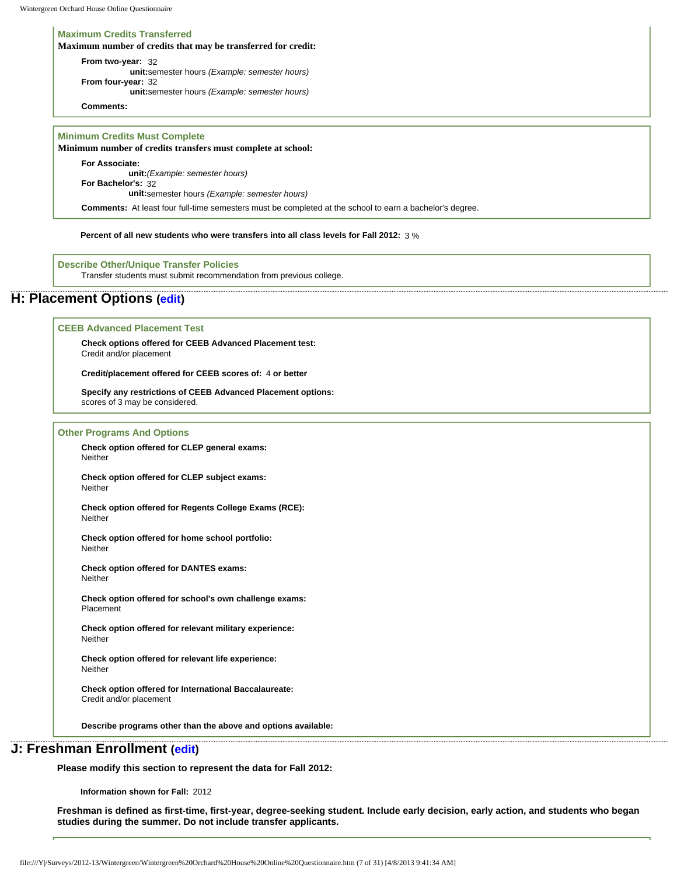#### **Maximum Credits Transferred**

**Maximum number of credits that may be transferred for credit:**

**From two-year:** 32 **unit:**semester hours *(Example: semester hours)* **From four-year:** 32 **unit:**semester hours *(Example: semester hours)*

**Comments:**

### **Minimum Credits Must Complete**

**Minimum number of credits transfers must complete at school:**

**For Associate: unit:***(Example: semester hours)*

**For Bachelor's:** 32

**unit:**semester hours *(Example: semester hours)*

**Comments:** At least four full-time semesters must be completed at the school to earn a bachelor's degree.

**Percent of all new students who were transfers into all class levels for Fall 2012:** 3 %

**Describe Other/Unique Transfer Policies** Transfer students must submit recommendation from previous college.

## **H: Placement Options ([edit\)](http://survey.wgoh.com/secure/sectionHView.htm)**

#### **CEEB Advanced Placement Test**

**Check options offered for CEEB Advanced Placement test:** Credit and/or placement

**Credit/placement offered for CEEB scores of:** 4 **or better** 

**Specify any restrictions of CEEB Advanced Placement options:**  scores of 3 may be considered.

#### **Other Programs And Options**

**Check option offered for CLEP general exams: Neither** 

**Check option offered for CLEP subject exams:** Neither

**Check option offered for Regents College Exams (RCE): Neither** 

**Check option offered for home school portfolio: Neither** 

**Check option offered for DANTES exams:** Neither

**Check option offered for school's own challenge exams:** Placement

**Check option offered for relevant military experience:** Neither

**Check option offered for relevant life experience:** Neither

**Check option offered for International Baccalaureate:** Credit and/or placement

**Describe programs other than the above and options available:** 

## **J: Freshman Enrollment [\(edit\)](http://survey.wgoh.com/secure/sectionJView.htm)**

**Please modify this section to represent the data for Fall 2012:** 

**Information shown for Fall:** 2012

**Freshman is defined as first-time, first-year, degree-seeking student. Include early decision, early action, and students who began studies during the summer. Do not include transfer applicants.**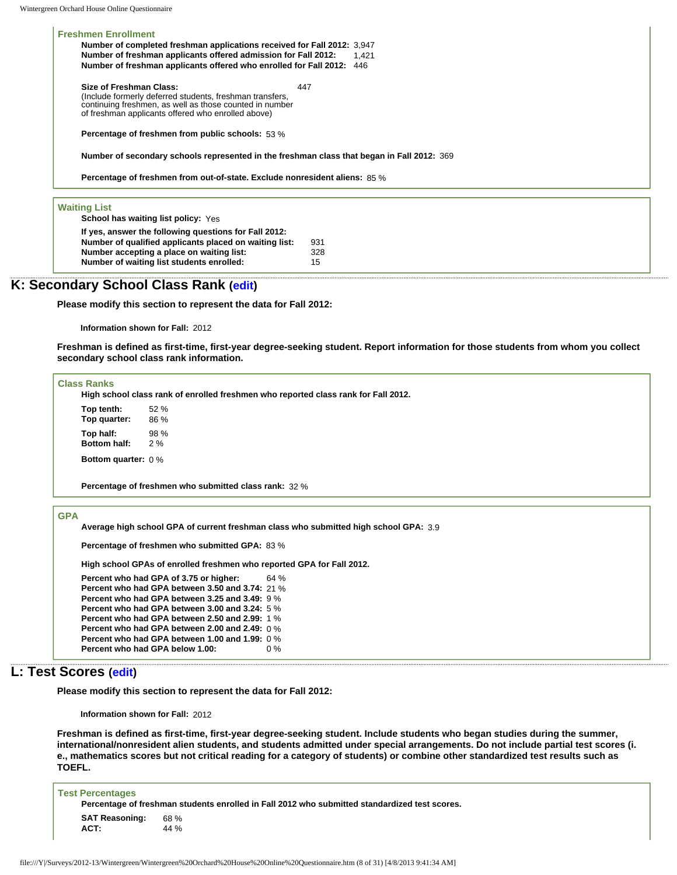**Freshmen Enrollment Number of completed freshman applications received for Fall 2012:** 3,947 **Number of freshman applicants offered admission for Fall 2012:** 1,421 **Number of freshman applicants offered who enrolled for Fall 2012:** 446

**Size of Freshman Class:**  (Include formerly deferred students, freshman transfers, continuing freshmen, as well as those counted in number of freshman applicants offered who enrolled above) 447

**Percentage of freshmen from public schools:** 53 %

**Number of secondary schools represented in the freshman class that began in Fall 2012:** 369

**Percentage of freshmen from out-of-state. Exclude nonresident aliens:** 85 %

#### **Waiting List**

**School has waiting list policy:** Yes

| If yes, answer the following questions for Fall 2012:  |     |
|--------------------------------------------------------|-----|
| Number of qualified applicants placed on waiting list: | 931 |
| Number accepting a place on waiting list:              | 328 |
| Number of waiting list students enrolled:              | 15  |

## **K: Secondary School Class Rank ([edit](http://survey.wgoh.com/secure/sectionKView.htm))**

**Please modify this section to represent the data for Fall 2012:** 

**Information shown for Fall:** 2012

**Freshman is defined as first-time, first-year degree-seeking student. Report information for those students from whom you collect secondary school class rank information.** 

#### **Class Ranks**

**High school class rank of enrolled freshmen who reported class rank for Fall 2012.**

**Top tenth:** 52 % **Top quarter:** 86 % **Top half:** 98 % **Bottom half:** 

**Bottom quarter:** 0 %

**Percentage of freshmen who submitted class rank:** 32 %

## **GPA**

**Average high school GPA of current freshman class who submitted high school GPA:** 3.9

**Percentage of freshmen who submitted GPA:** 83 %

**High school GPAs of enrolled freshmen who reported GPA for Fall 2012.**

```
Percent who had GPA of 3.75 or higher: 64 % 
Percent who had GPA between 3.50 and 3.74: 21 % 
Percent who had GPA between 3.25 and 3.49: 9 % 
Percent who had GPA between 3.00 and 3.24: 5 % 
Percent who had GPA between 2.50 and 2.99: 1 % 
Percent who had GPA between 2.00 and 2.49: 0 % 
Percent who had GPA between 1.00 and 1.99: 0 % 
Percent who had GPA below 1.00: 0 %
```
## **L: Test Scores ([edit](http://survey.wgoh.com/secure/sectionLView.htm))**

**Please modify this section to represent the data for Fall 2012:** 

**Information shown for Fall:** 2012

**Freshman is defined as first-time, first-year degree-seeking student. Include students who began studies during the summer, international/nonresident alien students, and students admitted under special arrangements. Do not include partial test scores (i. e., mathematics scores but not critical reading for a category of students) or combine other standardized test results such as TOEFL.** 

| <b>Test Percentages</b>       |                                                                                               |
|-------------------------------|-----------------------------------------------------------------------------------------------|
|                               | Percentage of freshman students enrolled in Fall 2012 who submitted standardized test scores. |
| <b>SAT Reasoning:</b><br>ACT: | 68 %<br>44 %                                                                                  |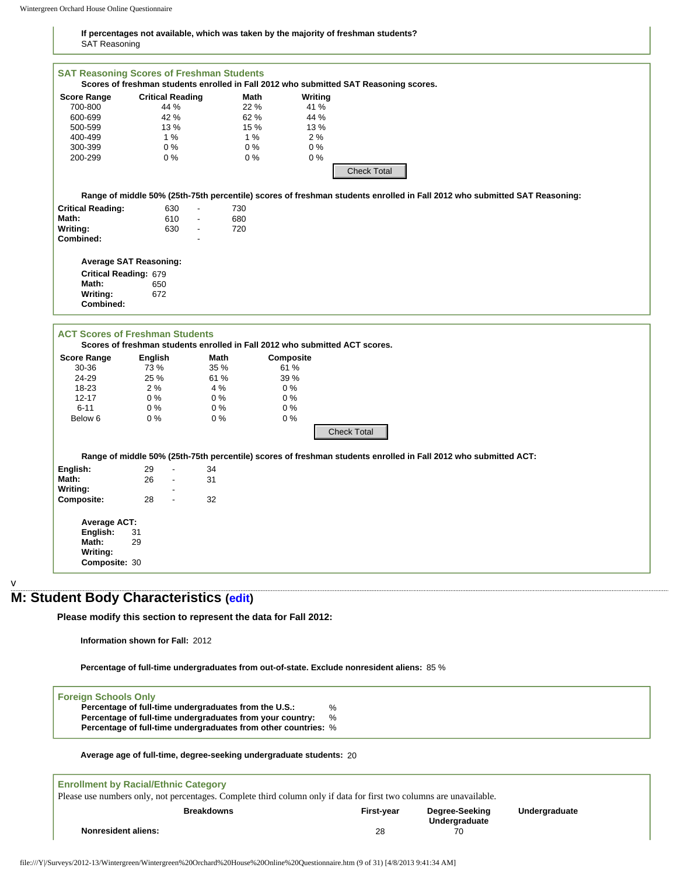#### **If percentages not available, which was taken by the majority of freshman students?** SAT Reasoning

| <b>Score Range</b>                                                                | Scores of freshman students enrolled in Fall 2012 who submitted SAT Reasoning scores.<br><b>Critical Reading</b>                     | Math                                                   | Writing                                           |                                                                                                                 |                                                                                                                           |
|-----------------------------------------------------------------------------------|--------------------------------------------------------------------------------------------------------------------------------------|--------------------------------------------------------|---------------------------------------------------|-----------------------------------------------------------------------------------------------------------------|---------------------------------------------------------------------------------------------------------------------------|
| 700-800                                                                           | 44 %                                                                                                                                 | 22 %                                                   | 41 %                                              |                                                                                                                 |                                                                                                                           |
| 600-699                                                                           | 42 %                                                                                                                                 | 62 %                                                   | 44 %                                              |                                                                                                                 |                                                                                                                           |
|                                                                                   |                                                                                                                                      |                                                        |                                                   |                                                                                                                 |                                                                                                                           |
| 500-599                                                                           | 13 %                                                                                                                                 | 15 %                                                   | 13 %                                              |                                                                                                                 |                                                                                                                           |
| 400-499                                                                           | 1%                                                                                                                                   | 1%                                                     | 2%                                                |                                                                                                                 |                                                                                                                           |
| 300-399                                                                           | $0\%$                                                                                                                                | $0\%$                                                  | 0%                                                |                                                                                                                 |                                                                                                                           |
| 200-299                                                                           | $0\%$                                                                                                                                | 0%                                                     | 0%                                                | <b>Check Total</b>                                                                                              |                                                                                                                           |
|                                                                                   |                                                                                                                                      |                                                        |                                                   |                                                                                                                 | Range of middle 50% (25th-75th percentile) scores of freshman students enrolled in Fall 2012 who submitted SAT Reasoning: |
| <b>Critical Reading:</b>                                                          | 630<br>$\blacksquare$                                                                                                                | 730                                                    |                                                   |                                                                                                                 |                                                                                                                           |
| Math:                                                                             | 610<br>$\blacksquare$                                                                                                                | 680                                                    |                                                   |                                                                                                                 |                                                                                                                           |
| Writing:                                                                          | 630<br>$\mathbf{r}$                                                                                                                  | 720                                                    |                                                   |                                                                                                                 |                                                                                                                           |
| Combined:                                                                         |                                                                                                                                      |                                                        |                                                   |                                                                                                                 |                                                                                                                           |
|                                                                                   | <b>Average SAT Reasoning:</b>                                                                                                        |                                                        |                                                   |                                                                                                                 |                                                                                                                           |
| Critical Reading: 679                                                             |                                                                                                                                      |                                                        |                                                   |                                                                                                                 |                                                                                                                           |
| Math:                                                                             | 650                                                                                                                                  |                                                        |                                                   |                                                                                                                 |                                                                                                                           |
| Writing:                                                                          | 672                                                                                                                                  |                                                        |                                                   |                                                                                                                 |                                                                                                                           |
|                                                                                   |                                                                                                                                      |                                                        |                                                   |                                                                                                                 |                                                                                                                           |
| Combined:                                                                         | <b>ACT Scores of Freshman Students</b>                                                                                               |                                                        |                                                   |                                                                                                                 |                                                                                                                           |
| <b>Score Range</b><br>30-36<br>24-29<br>18-23<br>$12 - 17$<br>$6 - 11$<br>Below 6 | Scores of freshman students enrolled in Fall 2012 who submitted ACT scores.<br>English<br>73 %<br>25 %<br>2%<br>$0\%$<br>$0\%$<br>0% | Math<br>35 %<br>61 %<br>4 %<br>$0\%$<br>$0\%$<br>$0\%$ | Composite<br>61 %<br>39 %<br>0%<br>0%<br>0%<br>0% |                                                                                                                 |                                                                                                                           |
|                                                                                   |                                                                                                                                      |                                                        |                                                   | <b>Check Total</b>                                                                                              |                                                                                                                           |
|                                                                                   |                                                                                                                                      |                                                        |                                                   | Range of middle 50% (25th-75th percentile) scores of freshman students enrolled in Fall 2012 who submitted ACT: |                                                                                                                           |
| English:                                                                          | 29<br>$\mathbf{r}$                                                                                                                   | 34                                                     |                                                   |                                                                                                                 |                                                                                                                           |
| Math:<br>Writing:                                                                 | 26<br>$\Box$                                                                                                                         | 31                                                     |                                                   |                                                                                                                 |                                                                                                                           |
| Composite:                                                                        | 28<br>$\mathbb{L}$                                                                                                                   | 32                                                     |                                                   |                                                                                                                 |                                                                                                                           |

## **M: Student Body Characteristics [\(edit\)](http://survey.wgoh.com/secure/sectionMView.htm)**

**Please modify this section to represent the data for Fall 2012:** 

**Information shown for Fall:** 2012

**Percentage of full-time undergraduates from out-of-state. Exclude nonresident aliens:** 85 %

**Foreign Schools Only**

v

**Percentage of full-time undergraduates from the U.S.:** % Percentage of full-time undergraduates from your country: **Percentage of full-time undergraduates from other countries:** %

#### **Average age of full-time, degree-seeking undergraduate students:** 20

| <b>Enrollment by Racial/Ethnic Category</b>                                                                         |                   |                |               |
|---------------------------------------------------------------------------------------------------------------------|-------------------|----------------|---------------|
| Please use numbers only, not percentages. Complete third column only if data for first two columns are unavailable. |                   |                |               |
| <b>Breakdowns</b>                                                                                                   | <b>First-vear</b> | Degree-Seeking | Undergraduate |
|                                                                                                                     |                   | Undergraduate  |               |
| <b>Nonresident aliens:</b>                                                                                          | 28                | 70             |               |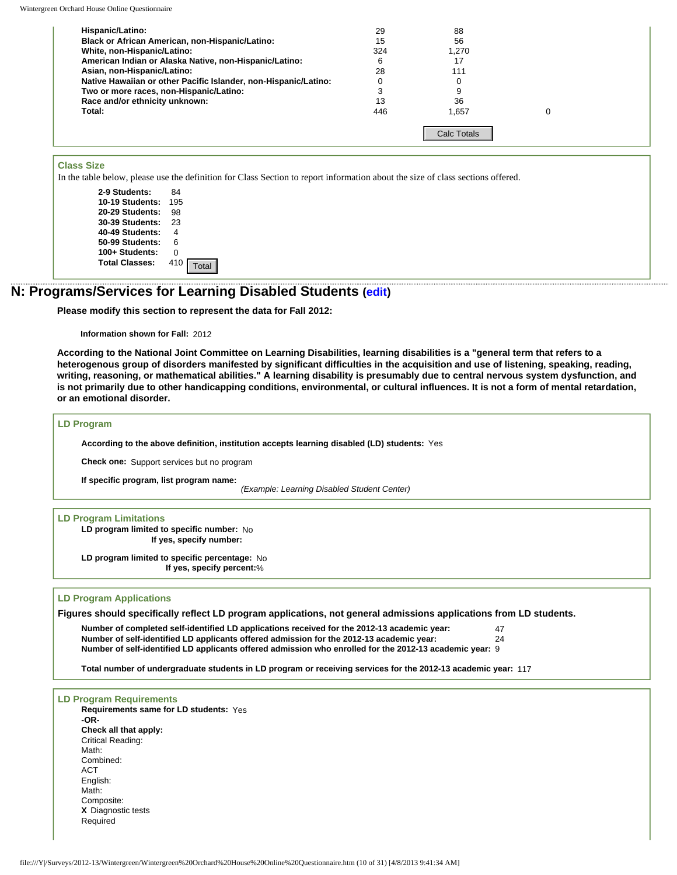Wintergreen Orchard House Online Questionnaire

| Hispanic/Latino:                                                | 29  | 88                 |  |
|-----------------------------------------------------------------|-----|--------------------|--|
| Black or African American, non-Hispanic/Latino:                 | 15  | 56                 |  |
| White, non-Hispanic/Latino:                                     | 324 | 1.270              |  |
| American Indian or Alaska Native, non-Hispanic/Latino:          | 6   | 17                 |  |
| Asian, non-Hispanic/Latino:                                     | 28  | 111                |  |
| Native Hawaiian or other Pacific Islander, non-Hispanic/Latino: |     |                    |  |
| Two or more races, non-Hispanic/Latino:                         |     |                    |  |
| Race and/or ethnicity unknown:                                  | 13  | 36                 |  |
| Total:                                                          | 446 | 1,657              |  |
|                                                                 |     | <b>Calc Totals</b> |  |

## **Class Size**

In the table below, please use the definition for Class Section to report information about the size of class sections offered.

## **N: Programs/Services for Learning Disabled Students ([edit](http://survey.wgoh.com/secure/sectionNView.htm))**

#### **Information shown for Fall:** 2012

**According to the National Joint Committee on Learning Disabilities, learning disabilities is a "general term that refers to a heterogenous group of disorders manifested by significant difficulties in the acquisition and use of listening, speaking, reading, writing, reasoning, or mathematical abilities." A learning disability is presumably due to central nervous system dysfunction, and is not primarily due to other handicapping conditions, environmental, or cultural influences. It is not a form of mental retardation, or an emotional disorder.** 

### **LD Program**

## **LD Program Limitations**

### **LD Program Applications**

**Figures should specifically reflect LD program applications, not general admissions applications from LD students.** 

**Number of completed self-identified LD applications received for the 2012-13 academic year:** 47 **Number of self-identified LD applicants offered admission for the 2012-13 academic year:** 24 **Number of self-identified LD applicants offered admission who enrolled for the 2012-13 academic year:** 9

**Total number of undergraduate students in LD program or receiving services for the 2012-13 academic year:** 117

| <b>Class Size</b>                       |                                                                                                                                                                                                                                                                                               |
|-----------------------------------------|-----------------------------------------------------------------------------------------------------------------------------------------------------------------------------------------------------------------------------------------------------------------------------------------------|
|                                         | In the table below, please use the definition for Class Section to report information about the size of class sectio                                                                                                                                                                          |
|                                         |                                                                                                                                                                                                                                                                                               |
| 2-9 Students:                           | 84                                                                                                                                                                                                                                                                                            |
| 10-19 Students:                         | 195                                                                                                                                                                                                                                                                                           |
| 20-29 Students:<br>30-39 Students:      | 98                                                                                                                                                                                                                                                                                            |
| 40-49 Students:                         | 23<br>4                                                                                                                                                                                                                                                                                       |
| 50-99 Students:                         | 6                                                                                                                                                                                                                                                                                             |
| 100+ Students:                          | 0                                                                                                                                                                                                                                                                                             |
| <b>Total Classes:</b>                   | 410                                                                                                                                                                                                                                                                                           |
|                                         | Total                                                                                                                                                                                                                                                                                         |
|                                         | : Programs/Services for Learning Disabled Students (edit)                                                                                                                                                                                                                                     |
|                                         | Please modify this section to represent the data for Fall 2012:                                                                                                                                                                                                                               |
| Information shown for Fall: 2012        |                                                                                                                                                                                                                                                                                               |
|                                         | According to the National Joint Committee on Learning Disabilities, learning disabilities is a "                                                                                                                                                                                              |
|                                         | heterogenous group of disorders manifested by significant difficulties in the acquisition and u<br>writing, reasoning, or mathematical abilities." A learning disability is presumably due to centra                                                                                          |
|                                         | is not primarily due to other handicapping conditions, environmental, or cultural influences. It                                                                                                                                                                                              |
| or an emotional disorder.               |                                                                                                                                                                                                                                                                                               |
| <b>LD Program</b>                       |                                                                                                                                                                                                                                                                                               |
|                                         | According to the above definition, institution accepts learning disabled (LD) students: Yes                                                                                                                                                                                                   |
|                                         | Check one: Support services but no program                                                                                                                                                                                                                                                    |
| If specific program, list program name: |                                                                                                                                                                                                                                                                                               |
|                                         | (Example: Learning Disabled Student Center)                                                                                                                                                                                                                                                   |
| <b>LD Program Limitations</b>           |                                                                                                                                                                                                                                                                                               |
|                                         | LD program limited to specific number: No                                                                                                                                                                                                                                                     |
|                                         | If yes, specify number:                                                                                                                                                                                                                                                                       |
|                                         |                                                                                                                                                                                                                                                                                               |
|                                         | LD program limited to specific percentage: No<br>If yes, specify percent:%                                                                                                                                                                                                                    |
|                                         |                                                                                                                                                                                                                                                                                               |
| <b>LD Program Applications</b>          | Figures should specifically reflect LD program applications, not general admissions application                                                                                                                                                                                               |
|                                         |                                                                                                                                                                                                                                                                                               |
|                                         | Number of completed self-identified LD applications received for the 2012-13 academic year:<br>Number of self-identified LD applicants offered admission for the 2012-13 academic year:<br>Number of self-identified LD applicants offered admission who enrolled for the 2012-13 academic ye |
|                                         |                                                                                                                                                                                                                                                                                               |
|                                         | Total number of undergraduate students in LD program or receiving services for the 2012-13 acader                                                                                                                                                                                             |
|                                         |                                                                                                                                                                                                                                                                                               |
| <b>LD Program Requirements</b>          |                                                                                                                                                                                                                                                                                               |
| Requirements same for LD students: Yes  |                                                                                                                                                                                                                                                                                               |
| -OR-                                    |                                                                                                                                                                                                                                                                                               |
| Check all that apply:                   |                                                                                                                                                                                                                                                                                               |
| Critical Reading:                       |                                                                                                                                                                                                                                                                                               |
| Math:                                   |                                                                                                                                                                                                                                                                                               |
| Combined:                               |                                                                                                                                                                                                                                                                                               |
| ACT                                     |                                                                                                                                                                                                                                                                                               |
| English:                                |                                                                                                                                                                                                                                                                                               |
| Math:                                   |                                                                                                                                                                                                                                                                                               |
| Composite:                              |                                                                                                                                                                                                                                                                                               |
| X Diagnostic tests                      |                                                                                                                                                                                                                                                                                               |
| Required                                |                                                                                                                                                                                                                                                                                               |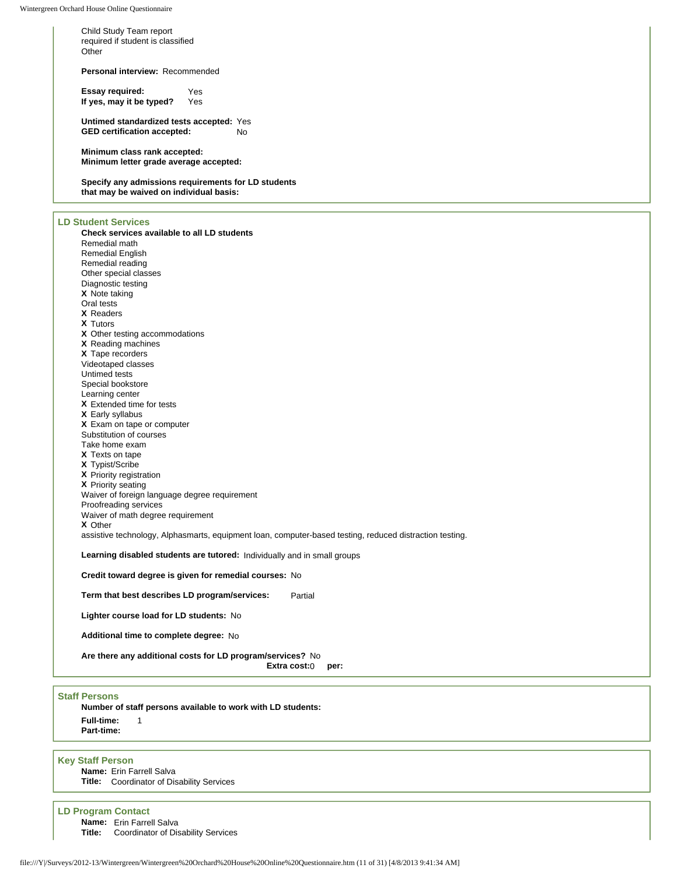Child Study Team report required if student is classified **Other** 

**Personal interview:** Recommended

**Essay required:** Yes<br>If yes, may it be typed? Yes **If yes, may it be typed?** 

**Untimed standardized tests accepted:** Yes **GED certification accepted:** No

**Minimum class rank accepted: Minimum letter grade average accepted:**

**Specify any admissions requirements for LD students that may be waived on individual basis:** 

### **LD Student Services**

**Check services available to all LD students** Remedial math Remedial English Remedial reading Other special classes Diagnostic testing **X** Note taking Oral tests **X** Readers **X** Tutors **X** Other testing accommodations **X** Reading machines **X** Tape recorders Videotaped classes Untimed tests Special bookstore Learning center **X** Extended time for tests **X** Early syllabus **X** Exam on tape or computer Substitution of courses Take home exam **X** Texts on tape **X** Typist/Scribe **X** Priority registration **X** Priority seating Waiver of foreign language degree requirement Proofreading services Waiver of math degree requirement **X** Other assistive technology, Alphasmarts, equipment loan, computer-based testing, reduced distraction testing. **Learning disabled students are tutored:** Individually and in small groups **Credit toward degree is given for remedial courses:** No

**Term that best describes LD program/services:** Partial

**Lighter course load for LD students:** No

**Additional time to complete degree:** No

**Are there any additional costs for LD program/services?** No

**Extra cost:**0 **per:**

### **Staff Persons**

**Number of staff persons available to work with LD students: Full-time:** 1 **Part-time:**

#### **Key Staff Person**

**Name:** Erin Farrell Salva **Title:** Coordinator of Disability Services

#### **LD Program Contact**

**Name:** Erin Farrell Salva

**Title:** Coordinator of Disability Services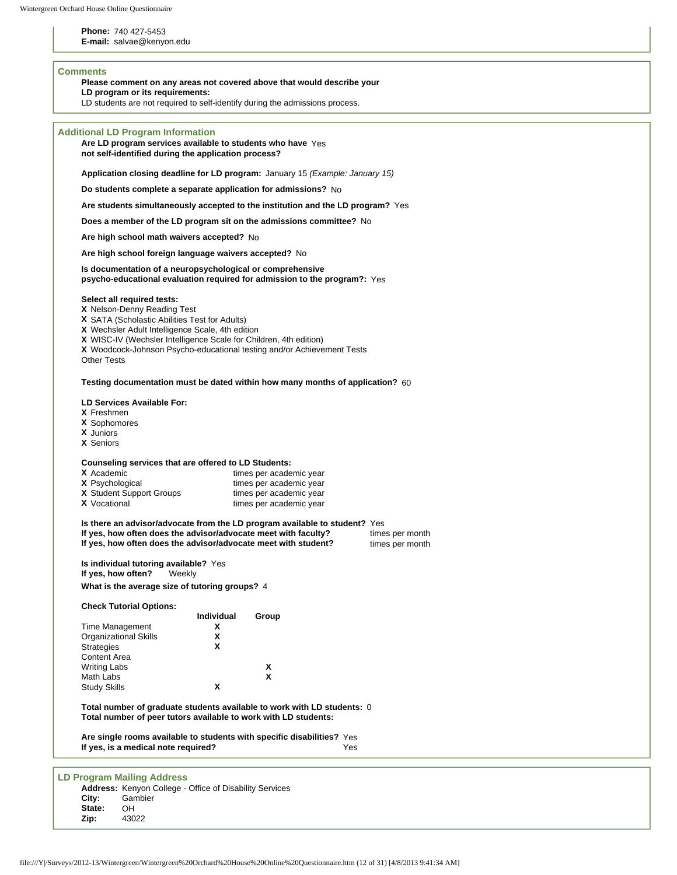**Phone:** 740 427-5453

**E-mail:** salvae@kenyon.edu

## **Comments**

**Please comment on any areas not covered above that would describe your** 

**LD program or its requirements:** 

LD students are not required to self-identify during the admissions process.

| <b>Additional LD Program Information</b><br>Are LD program services available to students who have Yes<br>not self-identified during the application process?                                                                                                                                                                       |  |  |  |  |  |  |  |
|-------------------------------------------------------------------------------------------------------------------------------------------------------------------------------------------------------------------------------------------------------------------------------------------------------------------------------------|--|--|--|--|--|--|--|
| Application closing deadline for LD program: January 15 (Example: January 15)                                                                                                                                                                                                                                                       |  |  |  |  |  |  |  |
| Do students complete a separate application for admissions? No                                                                                                                                                                                                                                                                      |  |  |  |  |  |  |  |
| Are students simultaneously accepted to the institution and the LD program? Yes                                                                                                                                                                                                                                                     |  |  |  |  |  |  |  |
| Does a member of the LD program sit on the admissions committee? No                                                                                                                                                                                                                                                                 |  |  |  |  |  |  |  |
| Are high school math waivers accepted? No                                                                                                                                                                                                                                                                                           |  |  |  |  |  |  |  |
| Are high school foreign language waivers accepted? No                                                                                                                                                                                                                                                                               |  |  |  |  |  |  |  |
| Is documentation of a neuropsychological or comprehensive<br>psycho-educational evaluation required for admission to the program?: Yes                                                                                                                                                                                              |  |  |  |  |  |  |  |
| Select all required tests:<br>X Nelson-Denny Reading Test<br>X SATA (Scholastic Abilities Test for Adults)<br>X Wechsler Adult Intelligence Scale, 4th edition<br>X WISC-IV (Wechsler Intelligence Scale for Children, 4th edition)<br>X Woodcock-Johnson Psycho-educational testing and/or Achievement Tests<br><b>Other Tests</b> |  |  |  |  |  |  |  |
| Testing documentation must be dated within how many months of application? 60                                                                                                                                                                                                                                                       |  |  |  |  |  |  |  |
| LD Services Available For:<br>X Freshmen<br>X Sophomores<br><b>X</b> Juniors<br><b>X</b> Seniors                                                                                                                                                                                                                                    |  |  |  |  |  |  |  |
| Counseling services that are offered to LD Students:<br>X Academic<br>times per academic year<br><b>X</b> Psychological<br>times per academic year<br>X Student Support Groups<br>times per academic year<br><b>X</b> Vocational<br>times per academic year                                                                         |  |  |  |  |  |  |  |
| Is there an advisor/advocate from the LD program available to student? Yes<br>If yes, how often does the advisor/advocate meet with faculty?<br>times per month<br>If yes, how often does the advisor/advocate meet with student?<br>times per month                                                                                |  |  |  |  |  |  |  |
| Is individual tutoring available? Yes<br>If yes, how often?<br>Weekly                                                                                                                                                                                                                                                               |  |  |  |  |  |  |  |
| What is the average size of tutoring groups? 4                                                                                                                                                                                                                                                                                      |  |  |  |  |  |  |  |
| <b>Check Tutorial Options:</b>                                                                                                                                                                                                                                                                                                      |  |  |  |  |  |  |  |
| Individual<br>Group                                                                                                                                                                                                                                                                                                                 |  |  |  |  |  |  |  |
| Time Management<br>X<br><b>Organizational Skills</b><br>x                                                                                                                                                                                                                                                                           |  |  |  |  |  |  |  |
| X<br><b>Strategies</b>                                                                                                                                                                                                                                                                                                              |  |  |  |  |  |  |  |
| Content Area                                                                                                                                                                                                                                                                                                                        |  |  |  |  |  |  |  |
| <b>Writing Labs</b><br>X<br>X<br>Math Labs                                                                                                                                                                                                                                                                                          |  |  |  |  |  |  |  |
| χ<br><b>Study Skills</b>                                                                                                                                                                                                                                                                                                            |  |  |  |  |  |  |  |
| Total number of graduate students available to work with LD students: 0<br>Total number of peer tutors available to work with LD students:                                                                                                                                                                                          |  |  |  |  |  |  |  |
| Are single rooms available to students with specific disabilities? Yes<br>If yes, is a medical note required?<br>Yes                                                                                                                                                                                                                |  |  |  |  |  |  |  |
|                                                                                                                                                                                                                                                                                                                                     |  |  |  |  |  |  |  |
| <b>LD Program Mailing Address</b><br>Address: Kenyon College - Office of Disability Services<br>City:<br>Gambier<br>State:<br>OH<br>Zip:<br>43022                                                                                                                                                                                   |  |  |  |  |  |  |  |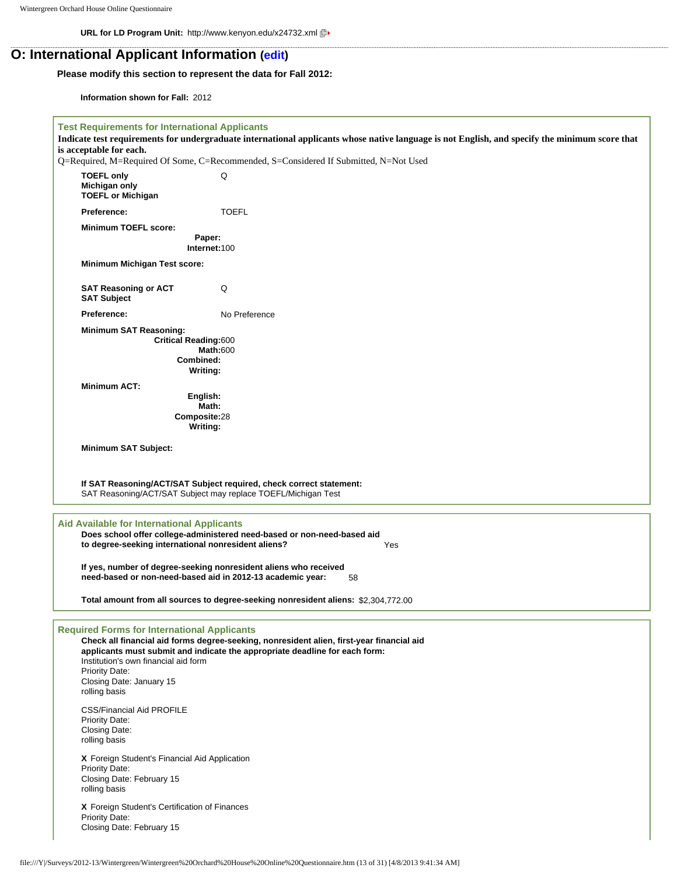**URL for LD Program Unit:** http://www.kenyon.edu/x24732.xml

## **O: International Applicant Information ([edit](http://survey.wgoh.com/secure/sectionOView.htm))**

## **Please modify this section to represent the data for Fall 2012:**

**Information shown for Fall:** 2012

| <b>Test Requirements for International Applicants</b><br>is acceptable for each.                                                                                                                                                                                                                                                                                                                                         | Indicate test requirements for undergraduate international applicants whose native language is not English, and specify the minimum score that<br>Q=Required, M=Required Of Some, C=Recommended, S=Considered If Submitted, N=Not Used |  |  |  |  |  |
|--------------------------------------------------------------------------------------------------------------------------------------------------------------------------------------------------------------------------------------------------------------------------------------------------------------------------------------------------------------------------------------------------------------------------|----------------------------------------------------------------------------------------------------------------------------------------------------------------------------------------------------------------------------------------|--|--|--|--|--|
|                                                                                                                                                                                                                                                                                                                                                                                                                          |                                                                                                                                                                                                                                        |  |  |  |  |  |
| <b>TOEFL only</b><br>Michigan only<br><b>TOEFL or Michigan</b>                                                                                                                                                                                                                                                                                                                                                           | Q                                                                                                                                                                                                                                      |  |  |  |  |  |
| Preference:                                                                                                                                                                                                                                                                                                                                                                                                              | <b>TOEFL</b>                                                                                                                                                                                                                           |  |  |  |  |  |
| <b>Minimum TOEFL score:</b>                                                                                                                                                                                                                                                                                                                                                                                              |                                                                                                                                                                                                                                        |  |  |  |  |  |
|                                                                                                                                                                                                                                                                                                                                                                                                                          | Paper:<br>Internet:100                                                                                                                                                                                                                 |  |  |  |  |  |
| <b>Minimum Michigan Test score:</b>                                                                                                                                                                                                                                                                                                                                                                                      |                                                                                                                                                                                                                                        |  |  |  |  |  |
| <b>SAT Reasoning or ACT</b><br><b>SAT Subject</b>                                                                                                                                                                                                                                                                                                                                                                        | Q                                                                                                                                                                                                                                      |  |  |  |  |  |
| <b>Preference:</b>                                                                                                                                                                                                                                                                                                                                                                                                       | No Preference                                                                                                                                                                                                                          |  |  |  |  |  |
| <b>Minimum SAT Reasoning:</b><br><b>Critical Reading:600</b><br>Combined:                                                                                                                                                                                                                                                                                                                                                | <b>Math:600</b><br>Writing:                                                                                                                                                                                                            |  |  |  |  |  |
| <b>Minimum ACT:</b>                                                                                                                                                                                                                                                                                                                                                                                                      |                                                                                                                                                                                                                                        |  |  |  |  |  |
| English:                                                                                                                                                                                                                                                                                                                                                                                                                 |                                                                                                                                                                                                                                        |  |  |  |  |  |
|                                                                                                                                                                                                                                                                                                                                                                                                                          | Math:                                                                                                                                                                                                                                  |  |  |  |  |  |
| Composite:28                                                                                                                                                                                                                                                                                                                                                                                                             | Writing:                                                                                                                                                                                                                               |  |  |  |  |  |
| <b>Minimum SAT Subject:</b>                                                                                                                                                                                                                                                                                                                                                                                              |                                                                                                                                                                                                                                        |  |  |  |  |  |
|                                                                                                                                                                                                                                                                                                                                                                                                                          |                                                                                                                                                                                                                                        |  |  |  |  |  |
|                                                                                                                                                                                                                                                                                                                                                                                                                          | If SAT Reasoning/ACT/SAT Subject required, check correct statement:<br>SAT Reasoning/ACT/SAT Subject may replace TOEFL/Michigan Test                                                                                                   |  |  |  |  |  |
| <b>Aid Available for International Applicants</b><br>Does school offer college-administered need-based or non-need-based aid<br>to degree-seeking international nonresident aliens?<br>Yes<br>If yes, number of degree-seeking nonresident aliens who received<br>need-based or non-need-based aid in 2012-13 academic year:<br>58<br>Total amount from all sources to degree-seeking nonresident aliens: \$2,304,772.00 |                                                                                                                                                                                                                                        |  |  |  |  |  |
| <b>Required Forms for International Applicants</b><br>Check all financial aid forms degree-seeking, nonresident alien, first-year financial aid<br>applicants must submit and indicate the appropriate deadline for each form:<br>Institution's own financial aid form<br><b>Priority Date:</b><br>Closing Date: January 15<br>rolling basis                                                                             |                                                                                                                                                                                                                                        |  |  |  |  |  |
| <b>CSS/Financial Aid PROFILE</b><br><b>Priority Date:</b><br>Closing Date:<br>rolling basis                                                                                                                                                                                                                                                                                                                              |                                                                                                                                                                                                                                        |  |  |  |  |  |
| X Foreign Student's Financial Aid Application<br><b>Priority Date:</b><br>Closing Date: February 15<br>rolling basis                                                                                                                                                                                                                                                                                                     |                                                                                                                                                                                                                                        |  |  |  |  |  |
| X Foreign Student's Certification of Finances<br><b>Priority Date:</b><br>Closing Date: February 15                                                                                                                                                                                                                                                                                                                      |                                                                                                                                                                                                                                        |  |  |  |  |  |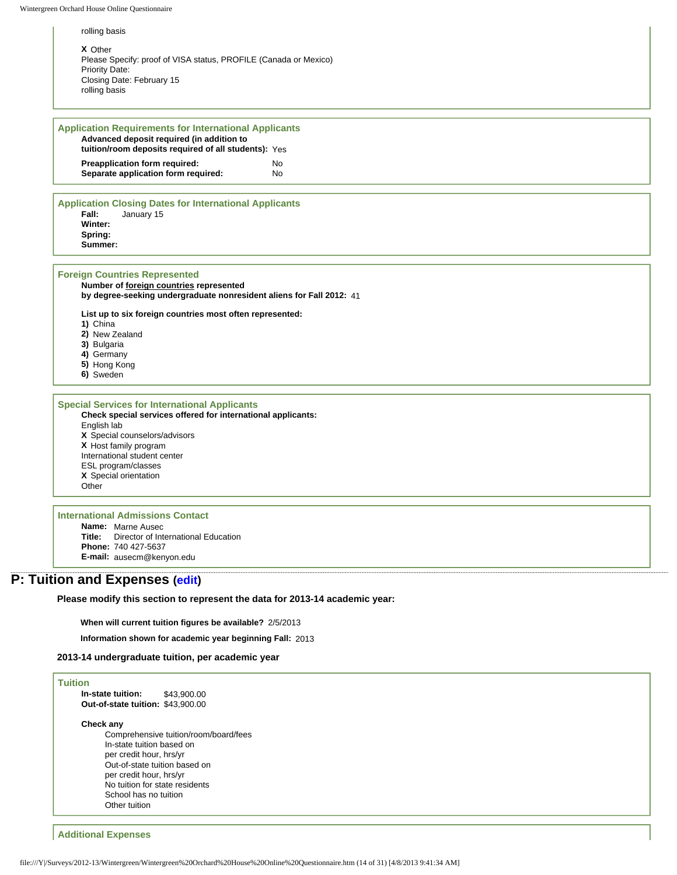rolling basis

**X** Other Please Specify: proof of VISA status, PROFILE (Canada or Mexico) Priority Date: Closing Date: February 15 rolling basis

## **Application Requirements for International Applicants Advanced deposit required (in addition to tuition/room deposits required of all students):** Yes **Preapplication form required:** No

**Separate application form required:** No

#### **Application Closing Dates for International Applicants Fall:** January 15 **Winter: Spring: Summer:**

#### **Foreign Countries Represented**

**Number of foreign countries represented by degree-seeking undergraduate nonresident aliens for Fall 2012:** 41

**List up to six foreign countries most often represented:**

**1)** China

**2)** New Zealand

**3)** Bulgaria

**4)** Germany

- **5)** Hong Kong
- **6)** Sweden

### **Special Services for International Applicants**

**Check special services offered for international applicants:** English lab

**X** Special counselors/advisors **X** Host family program International student center ESL program/classes **X** Special orientation **Other** 

## **International Admissions Contact**

**Name:** Marne Ausec **Title:** Director of International Education **Phone:** 740 427-5637 **E-mail:** ausecm@kenyon.edu

## **P: Tuition and Expenses [\(edit\)](http://survey.wgoh.com/secure/sectionPView.htm)**

**Please modify this section to represent the data for 2013-14 academic year:** 

**When will current tuition figures be available?** 2/5/2013

**Information shown for academic year beginning Fall:** 2013

## **2013-14 undergraduate tuition, per academic year**

### **Tuition In-state tuition:** \$43,900.00 **Out-of-state tuition:** \$43,900.00

#### **Check any**

Comprehensive tuition/room/board/fees In-state tuition based on per credit hour, hrs/yr Out-of-state tuition based on per credit hour, hrs/yr No tuition for state residents School has no tuition Other tuition

#### **Additional Expenses**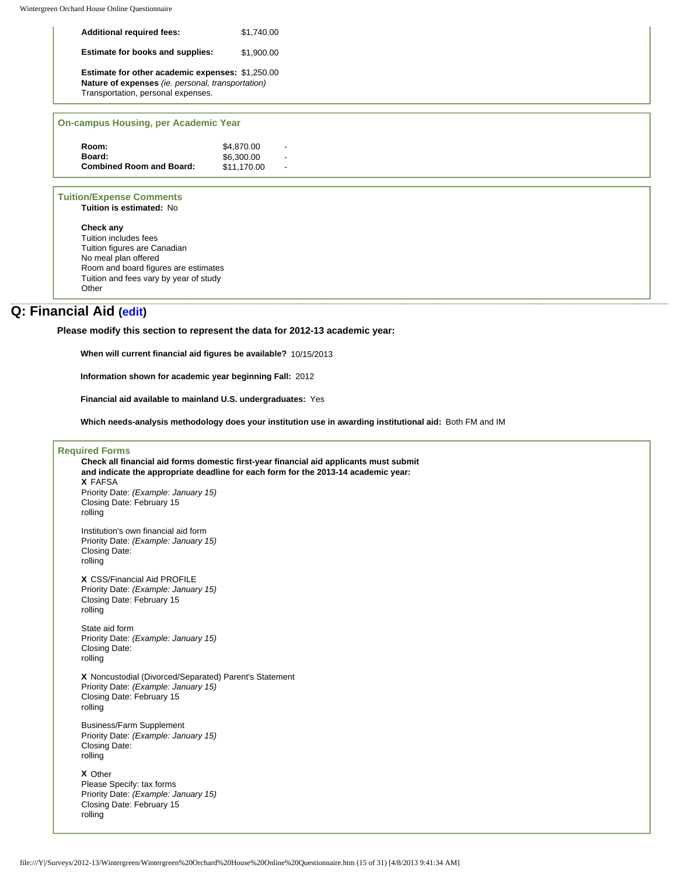| <b>Additional required fees:</b>                                                                                                                   | \$1.740.00 |
|----------------------------------------------------------------------------------------------------------------------------------------------------|------------|
| <b>Estimate for books and supplies:</b>                                                                                                            | \$1.900.00 |
| <b>Estimate for other academic expenses: \$1,250.00</b><br>Nature of expenses (ie. personal, transportation)<br>Transportation, personal expenses. |            |
|                                                                                                                                                    |            |

### **On-campus Housing, per Academic Year**

| \$4,870.00  |  |
|-------------|--|
| \$6,300,00  |  |
| \$11.170.00 |  |
|             |  |

### **Tuition/Expense Comments**

**Tuition is estimated:** No

**Check any** Tuition includes fees Tuition figures are Canadian No meal plan offered Room and board figures are estimates Tuition and fees vary by year of study **Other** 

## **Q: Financial Aid ([edit](http://survey.wgoh.com/secure/sectionQView.htm))**

**Please modify this section to represent the data for 2012-13 academic year:** 

**When will current financial aid figures be available?** 10/15/2013

**Information shown for academic year beginning Fall:** 2012

**Financial aid available to mainland U.S. undergraduates:** Yes

**Which needs-analysis methodology does your institution use in awarding institutional aid:** Both FM and IM

### **Required Forms**

**Check all financial aid forms domestic first-year financial aid applicants must submit and indicate the appropriate deadline for each form for the 2013-14 academic year: X** FAFSA Priority Date: *(Example: January 15)* Closing Date: February 15 rolling Institution's own financial aid form Priority Date: *(Example: January 15)* Closing Date: rolling **X** CSS/Financial Aid PROFILE Priority Date: *(Example: January 15)* Closing Date: February 15 rolling State aid form Priority Date: *(Example: January 15)* Closing Date: rolling **X** Noncustodial (Divorced/Separated) Parent's Statement Priority Date: *(Example: January 15)* Closing Date: February 15 rolling Business/Farm Supplement Priority Date: *(Example: January 15)* Closing Date: rolling **X** Other Please Specify: tax forms Priority Date: *(Example: January 15)* Closing Date: February 15 rolling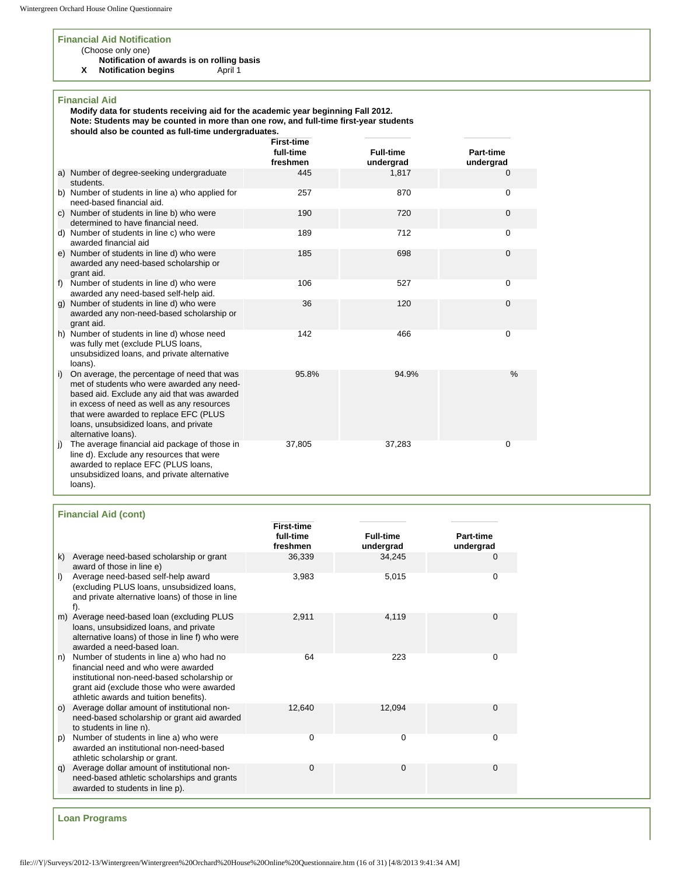### **Financial Aid Notification**

## (Choose only one)

**Notification of awards is on rolling basis<br>Notification begins** April 1

**X** Notification begins

### **Financial Aid**

**Modify data for students receiving aid for the academic year beginning Fall 2012. Note: Students may be counted in more than one row, and full-time first-year students should also be counted as full-time undergraduates.** 

|    |                                                                                                                                                                                                                                                                                                   | <b>First-time</b><br>full-time<br>freshmen | <b>Full-time</b><br>undergrad | Part-time<br>undergrad |
|----|---------------------------------------------------------------------------------------------------------------------------------------------------------------------------------------------------------------------------------------------------------------------------------------------------|--------------------------------------------|-------------------------------|------------------------|
|    | a) Number of degree-seeking undergraduate<br>students.                                                                                                                                                                                                                                            | 445                                        | 1,817                         | 0                      |
|    | b) Number of students in line a) who applied for<br>need-based financial aid.                                                                                                                                                                                                                     | 257                                        | 870                           | 0                      |
|    | c) Number of students in line b) who were<br>determined to have financial need.                                                                                                                                                                                                                   | 190                                        | 720                           | 0                      |
|    | d) Number of students in line c) who were<br>awarded financial aid                                                                                                                                                                                                                                | 189                                        | 712                           | 0                      |
|    | e) Number of students in line d) who were<br>awarded any need-based scholarship or<br>grant aid.                                                                                                                                                                                                  | 185                                        | 698                           | 0                      |
|    | f) Number of students in line d) who were<br>awarded any need-based self-help aid.                                                                                                                                                                                                                | 106                                        | 527                           | 0                      |
| g) | Number of students in line d) who were<br>awarded any non-need-based scholarship or<br>grant aid.                                                                                                                                                                                                 | 36                                         | 120                           | 0                      |
|    | h) Number of students in line d) whose need<br>was fully met (exclude PLUS loans,<br>unsubsidized loans, and private alternative<br>loans).                                                                                                                                                       | 142                                        | 466                           | 0                      |
| i) | On average, the percentage of need that was<br>met of students who were awarded any need-<br>based aid. Exclude any aid that was awarded<br>in excess of need as well as any resources<br>that were awarded to replace EFC (PLUS<br>loans, unsubsidized loans, and private<br>alternative loans). | 95.8%                                      | 94.9%                         | $\frac{0}{0}$          |
| j) | The average financial aid package of those in<br>line d). Exclude any resources that were<br>awarded to replace EFC (PLUS loans,<br>unsubsidized loans, and private alternative<br>loans).                                                                                                        | 37,805                                     | 37,283                        | 0                      |

| <b>Financial Aid (cont)</b> |                                                                                                                                                                                                                       |                                            |                               |                        |  |  |
|-----------------------------|-----------------------------------------------------------------------------------------------------------------------------------------------------------------------------------------------------------------------|--------------------------------------------|-------------------------------|------------------------|--|--|
|                             |                                                                                                                                                                                                                       | <b>First-time</b><br>full-time<br>freshmen | <b>Full-time</b><br>undergrad | Part-time<br>undergrad |  |  |
| k)                          | Average need-based scholarship or grant<br>award of those in line e)                                                                                                                                                  | 36,339                                     | 34,245                        | C                      |  |  |
| $\mathbf{D}$                | Average need-based self-help award<br>(excluding PLUS loans, unsubsidized loans,<br>and private alternative loans) of those in line<br>f).                                                                            | 3,983                                      | 5,015                         | 0                      |  |  |
|                             | Average need-based loan (excluding PLUS<br>loans, unsubsidized loans, and private<br>alternative loans) of those in line f) who were<br>awarded a need-based loan.                                                    | 2,911                                      | 4,119                         | $\mathbf 0$            |  |  |
| n)                          | Number of students in line a) who had no<br>financial need and who were awarded<br>institutional non-need-based scholarship or<br>grant aid (exclude those who were awarded<br>athletic awards and tuition benefits). | 64                                         | 223                           | 0                      |  |  |
| O)                          | Average dollar amount of institutional non-<br>need-based scholarship or grant aid awarded<br>to students in line n).                                                                                                 | 12,640                                     | 12.094                        | 0                      |  |  |
| (p                          | Number of students in line a) who were<br>awarded an institutional non-need-based<br>athletic scholarship or grant.                                                                                                   | 0                                          | $\Omega$                      | 0                      |  |  |
| q)                          | Average dollar amount of institutional non-<br>need-based athletic scholarships and grants<br>awarded to students in line p).                                                                                         | $\Omega$                                   | $\Omega$                      | $\Omega$               |  |  |

**Loan Programs**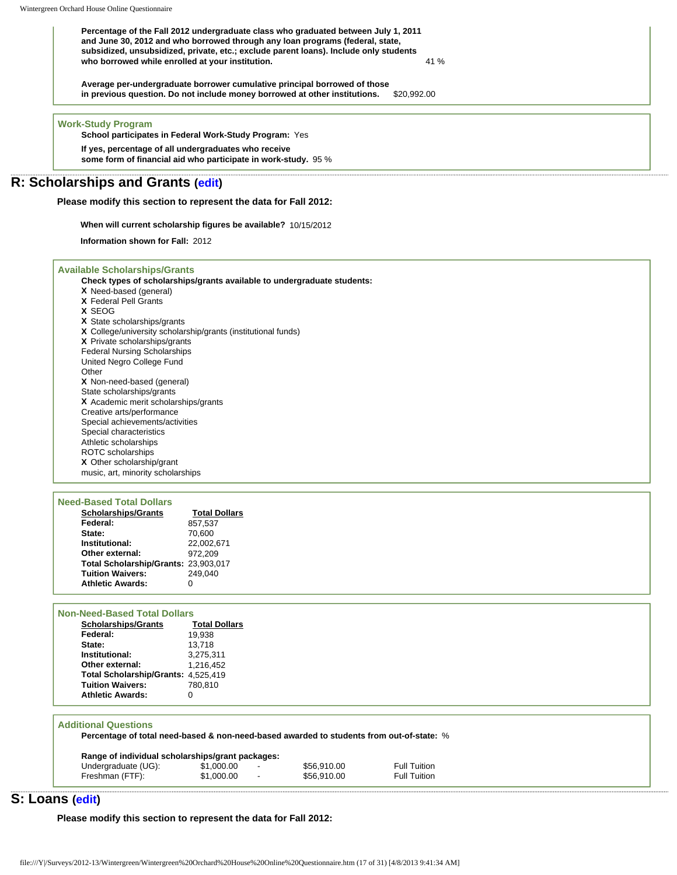**Percentage of the Fall 2012 undergraduate class who graduated between July 1, 2011 and June 30, 2012 and who borrowed through any loan programs (federal, state, subsidized, unsubsidized, private, etc.; exclude parent loans). Include only students who borrowed while enrolled at your institution.** 41 %

**Average per-undergraduate borrower cumulative principal borrowed of those in previous question. Do not include money borrowed at other institutions.** \$20,992.00

**Work-Study Program**

**School participates in Federal Work-Study Program:** Yes

**If yes, percentage of all undergraduates who receive some form of financial aid who participate in work-study.** 95 %

## **R: Scholarships and Grants [\(edit\)](http://survey.wgoh.com/secure/sectionRView.htm)**

**Please modify this section to represent the data for Fall 2012:** 

**When will current scholarship figures be available?** 10/15/2012

**Information shown for Fall:** 2012

|  | <b>Available Scholarships/Grants</b> |  |  |
|--|--------------------------------------|--|--|
|  |                                      |  |  |

**Check types of scholarships/grants available to undergraduate students: X** Need-based (general) **X** Federal Pell Grants **X** SEOG **X** State scholarships/grants **X** College/university scholarship/grants (institutional funds) **X** Private scholarships/grants Federal Nursing Scholarships United Negro College Fund **Other X** Non-need-based (general) State scholarships/grants **X** Academic merit scholarships/grants Creative arts/performance Special achievements/activities Special characteristics Athletic scholarships ROTC scholarships **X** Other scholarship/grant

music, art, minority scholarships

| <b>Need-Based Total Dollars</b>      |                      |
|--------------------------------------|----------------------|
| <b>Scholarships/Grants</b>           | <b>Total Dollars</b> |
| Federal:                             | 857.537              |
| State:                               | 70.600               |
| Institutional:                       | 22,002,671           |
| Other external:                      | 972.209              |
| Total Scholarship/Grants: 23,903,017 |                      |
| <b>Tuition Waivers:</b>              | 249.040              |
| <b>Athletic Awards:</b>              | 0                    |

| <b>Non-Need-Based Total Dollars</b> |                      |
|-------------------------------------|----------------------|
| <b>Scholarships/Grants</b>          | <b>Total Dollars</b> |
| Federal:                            | 19.938               |
| State:                              | 13.718               |
| Institutional:                      | 3.275.311            |
| Other external:                     | 1.216.452            |
| Total Scholarship/Grants: 4,525,419 |                      |
| <b>Tuition Waivers:</b>             | 780.810              |
| <b>Athletic Awards:</b>             |                      |
|                                     |                      |

#### **Additional Questions**

**Percentage of total need-based & non-need-based awarded to students from out-of-state:** %

| Range of individual scholarships/grant packages: |            |                          |             |                     |  |  |
|--------------------------------------------------|------------|--------------------------|-------------|---------------------|--|--|
| Undergraduate (UG):                              | \$1.000.00 | $\overline{\phantom{a}}$ | \$56,910.00 | <b>Full Tuition</b> |  |  |
| Freshman (FTF):                                  | \$1,000.00 | $\overline{\phantom{a}}$ | \$56,910.00 | <b>Full Tuition</b> |  |  |

## **S: Loans ([edit](http://survey.wgoh.com/secure/sectionSView.htm))**

**Please modify this section to represent the data for Fall 2012:**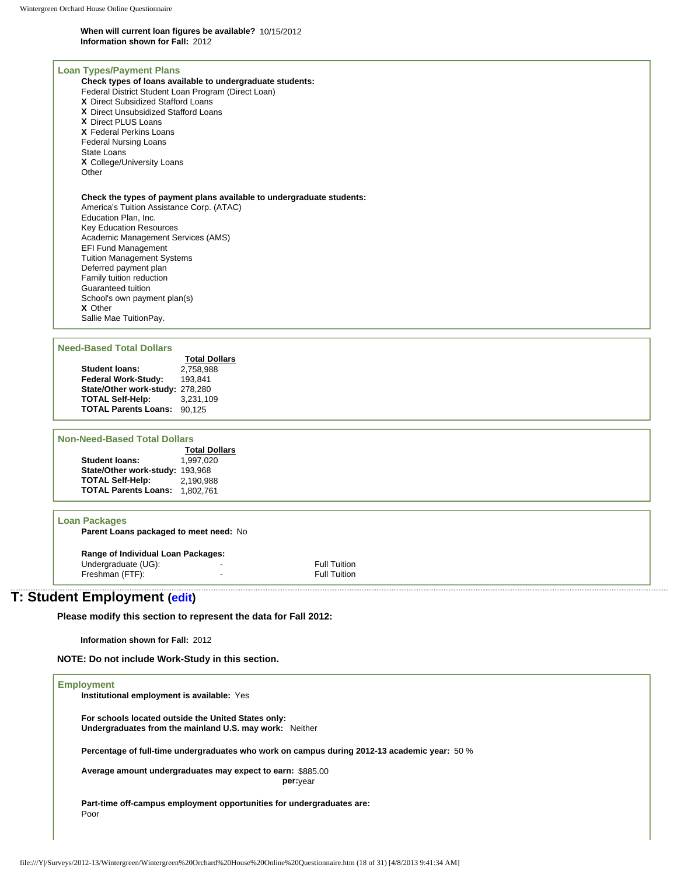#### **When will current loan figures be available?** 10/15/2012 **Information shown for Fall:** 2012

#### **Loan Types/Payment Plans**

**Check types of loans available to undergraduate students:** Federal District Student Loan Program (Direct Loan) **X** Direct Subsidized Stafford Loans **X** Direct Unsubsidized Stafford Loans **X** Direct PLUS Loans **X** Federal Perkins Loans Federal Nursing Loans State Loans **X** College/University Loans **Other** 

#### **Check the types of payment plans available to undergraduate students:**

America's Tuition Assistance Corp. (ATAC) Education Plan, Inc. Key Education Resources Academic Management Services (AMS) EFI Fund Management Tuition Management Systems Deferred payment plan Family tuition reduction Guaranteed tuition School's own payment plan(s) **X** Other Sallie Mae TuitionPay.

#### **Need-Based Total Dollars**

| J-DASEU TULAI DUNATS            |                      |
|---------------------------------|----------------------|
|                                 | <b>Total Dollars</b> |
| <b>Student loans:</b>           | 2.758.988            |
| Federal Work-Study:             | 193.841              |
| State/Other work-study: 278,280 |                      |
| <b>TOTAL Self-Help:</b>         | 3.231.109            |
| <b>TOTAL Parents Loans:</b>     | 90.125               |
|                                 |                      |

### **Non-Need-Based Total Dollars**

|                                 | <b>Total Dollars</b> |
|---------------------------------|----------------------|
| <b>Student loans:</b>           | 1.997.020            |
| State/Other work-study: 193,968 |                      |
| <b>TOTAL Self-Help:</b>         | 2.190.988            |
| <b>TOTAL Parents Loans:</b>     | 1.802.761            |

#### **Loan Packages**

**Parent Loans packaged to meet need:** No

#### **Range of Individual Loan Packages:**

Undergraduate (UG):<br>
Full Tuition<br>
Freshman (FTF):<br>
Full Tuition Freshman (FTF):

# **T: Student Employment [\(edit\)](http://survey.wgoh.com/secure/sectionTView.htm)**

**Please modify this section to represent the data for Fall 2012:** 

**Information shown for Fall:** 2012

**NOTE: Do not include Work-Study in this section.** 

| <b>Employment</b>                                                                                              |  |
|----------------------------------------------------------------------------------------------------------------|--|
| Institutional employment is available: Yes                                                                     |  |
|                                                                                                                |  |
| For schools located outside the United States only:<br>Undergraduates from the mainland U.S. may work: Neither |  |
|                                                                                                                |  |
| Percentage of full-time undergraduates who work on campus during 2012-13 academic year: 50 %                   |  |
| Average amount undergraduates may expect to earn: \$885.00                                                     |  |
| per: <sub>vear</sub>                                                                                           |  |
| Part-time off-campus employment opportunities for undergraduates are:                                          |  |
| Poor                                                                                                           |  |
|                                                                                                                |  |
|                                                                                                                |  |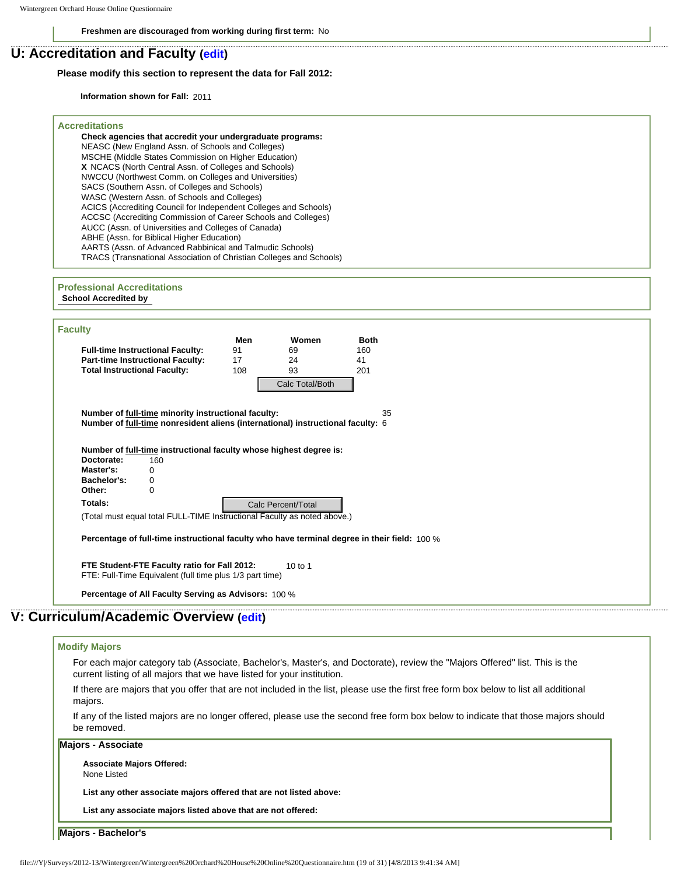**Freshmen are discouraged from working during first term:** No

## **U: Accreditation and Faculty [\(edit\)](http://survey.wgoh.com/secure/sectionUView.htm)**

### **Please modify this section to represent the data for Fall 2012:**

**Information shown for Fall:** 2011

## **Accreditations Check agencies that accredit your undergraduate programs:** NEASC (New England Assn. of Schools and Colleges) MSCHE (Middle States Commission on Higher Education) **X** NCACS (North Central Assn. of Colleges and Schools) NWCCU (Northwest Comm. on Colleges and Universities) SACS (Southern Assn. of Colleges and Schools) WASC (Western Assn. of Schools and Colleges) ACICS (Accrediting Council for Independent Colleges and Schools) ACCSC (Accrediting Commission of Career Schools and Colleges) AUCC (Assn. of Universities and Colleges of Canada) ABHE (Assn. for Biblical Higher Education) AARTS (Assn. of Advanced Rabbinical and Talmudic Schools) TRACS (Transnational Association of Christian Colleges and Schools) **Professional Accreditations**

## **School Accredited by**

|                                                                                                                                        | Men | Women              | <b>Both</b>                                                                                                                           |
|----------------------------------------------------------------------------------------------------------------------------------------|-----|--------------------|---------------------------------------------------------------------------------------------------------------------------------------|
| <b>Full-time Instructional Faculty:</b>                                                                                                | 91  | 69                 | 160                                                                                                                                   |
| <b>Part-time Instructional Faculty:</b>                                                                                                | 17  | 24                 | 41                                                                                                                                    |
| <b>Total Instructional Faculty:</b>                                                                                                    | 108 | 93                 | 201                                                                                                                                   |
|                                                                                                                                        |     | Calc Total/Both    |                                                                                                                                       |
| Number of full-time minority instructional faculty:<br>Number of full-time nonresident aliens (international) instructional faculty: 6 |     |                    | 35                                                                                                                                    |
| Number of full-time instructional faculty whose highest degree is:                                                                     |     |                    |                                                                                                                                       |
| Doctorate:<br>160                                                                                                                      |     |                    |                                                                                                                                       |
| Master's:<br>0<br>Bachelor's:<br>0                                                                                                     |     |                    |                                                                                                                                       |
| Other:<br>$\mathbf 0$                                                                                                                  |     |                    |                                                                                                                                       |
| Totals:                                                                                                                                |     | Calc Percent/Total |                                                                                                                                       |
| (Total must equal total FULL-TIME Instructional Faculty as noted above.)                                                               |     |                    |                                                                                                                                       |
|                                                                                                                                        |     |                    |                                                                                                                                       |
| Percentage of full-time instructional faculty who have terminal degree in their field: 100 %                                           |     |                    |                                                                                                                                       |
| FTE Student-FTE Faculty ratio for Fall 2012:<br>FTE: Full-Time Equivalent (full time plus 1/3 part time)                               |     | 10 to 1            |                                                                                                                                       |
| Percentage of All Faculty Serving as Advisors: 100 %                                                                                   |     |                    |                                                                                                                                       |
|                                                                                                                                        |     |                    |                                                                                                                                       |
| : Curriculum/Academic Overview (edit)                                                                                                  |     |                    |                                                                                                                                       |
|                                                                                                                                        |     |                    |                                                                                                                                       |
| <b>Modify Majors</b>                                                                                                                   |     |                    |                                                                                                                                       |
| current listing of all majors that we have listed for your institution.                                                                |     |                    | For each major category tab (Associate, Bachelor's, Master's, and Doctorate), review the "Majors Offered" list. This is the           |
|                                                                                                                                        |     |                    | If there are majors that you offer that are not included in the list, please use the first free form box below to list all additional |
| majors.                                                                                                                                |     |                    |                                                                                                                                       |
| be removed.                                                                                                                            |     |                    | If any of the listed majors are no longer offered, please use the second free form box below to indicate that those majors should     |
| <b>Majors - Associate</b>                                                                                                              |     |                    |                                                                                                                                       |
| <b>Associate Majors Offered:</b><br>None Listed                                                                                        |     |                    |                                                                                                                                       |
| List any other associate majors offered that are not listed above:                                                                     |     |                    |                                                                                                                                       |
| List any associate majors listed above that are not offered:                                                                           |     |                    |                                                                                                                                       |
| Majors - Bachelor's                                                                                                                    |     |                    |                                                                                                                                       |

## **V: Curriculum/Academic Overview [\(edit\)](http://survey.wgoh.com/secure/sectionVView.htm)**

## **Modify Majors** For each major category tab (Associate, Bachelor's, Master's, and Doctorate), review the "Majors Offered" list. This is the current listing of all majors that we have listed for your institution. If there are majors that you offer that are not included in the list, please use the first free form box below to list all additional majors. If any of the listed majors are no longer offered, please use the second free form box below to indicate that those majors should be removed. **Majors - Associate Associate Majors Offered:** None Listed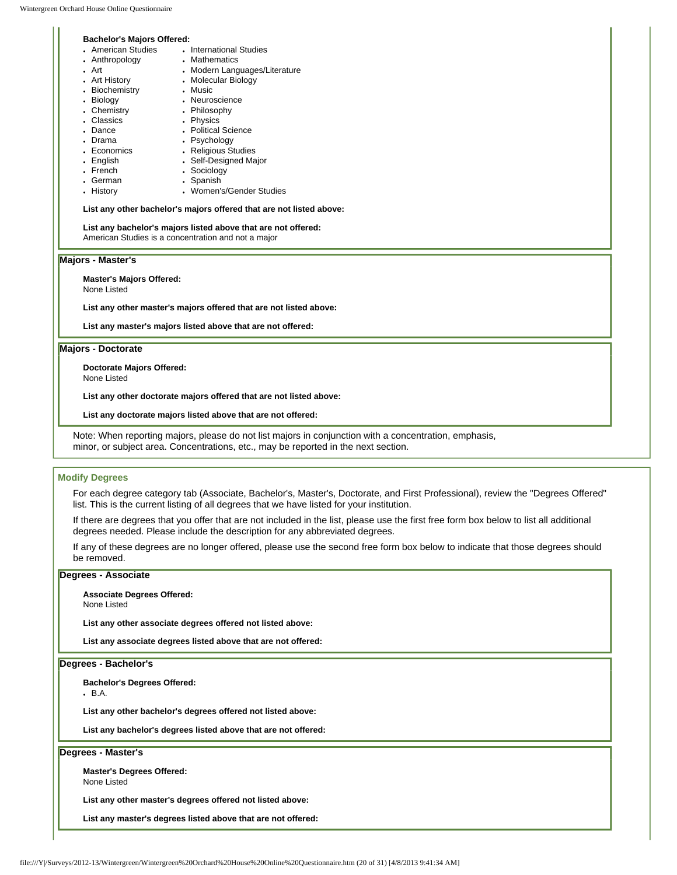$.$  Art

### **Bachelor's Majors Offered:**

- American Studies International Studies
- Anthropology . Mathematics
	- Modern Languages/Literature • Molecular Biology
- Art History
- Biochemistry
- Biology • Music **.** Neuroscience
- Chemistry • Philosophy
	- Physics
- Classics • Dance
- Drama
- Economics • Psychology • Religious Studies
- English
- French
	- Sociology • Spanish
- German • History
	- Women's/Gender Studies

• Self-Designed Major

#### **List any other bachelor's majors offered that are not listed above:**

• Political Science

## **List any bachelor's majors listed above that are not offered:**

American Studies is a concentration and not a major

### **Majors - Master's**

#### **Master's Majors Offered:**

None Listed

**List any other master's majors offered that are not listed above:** 

**List any master's majors listed above that are not offered:** 

#### **Majors - Doctorate**

**Doctorate Majors Offered:**

None Listed

**List any other doctorate majors offered that are not listed above:** 

**List any doctorate majors listed above that are not offered:** 

Note: When reporting majors, please do not list majors in conjunction with a concentration, emphasis, minor, or subject area. Concentrations, etc., may be reported in the next section.

## **Modify Degrees**

For each degree category tab (Associate, Bachelor's, Master's, Doctorate, and First Professional), review the "Degrees Offered" list. This is the current listing of all degrees that we have listed for your institution.

If there are degrees that you offer that are not included in the list, please use the first free form box below to list all additional degrees needed. Please include the description for any abbreviated degrees.

If any of these degrees are no longer offered, please use the second free form box below to indicate that those degrees should be removed.

#### **Degrees - Associate**

**Associate Degrees Offered:**

None Listed

**List any other associate degrees offered not listed above:** 

**List any associate degrees listed above that are not offered:** 

#### **Degrees - Bachelor's**

**Bachelor's Degrees Offered:**

 $-B.A.$ 

**List any other bachelor's degrees offered not listed above:** 

**List any bachelor's degrees listed above that are not offered:** 

### **Degrees - Master's**

**Master's Degrees Offered:** None Listed

**List any other master's degrees offered not listed above:** 

**List any master's degrees listed above that are not offered:**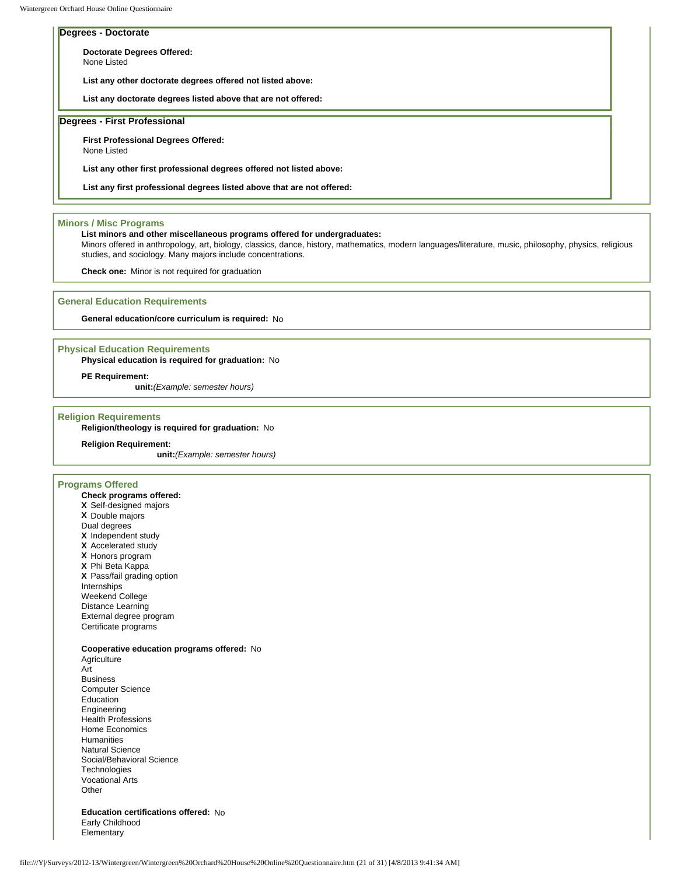None Listed

### **Degrees - Doctorate**

**Doctorate Degrees Offered:**

**List any other doctorate degrees offered not listed above:** 

**List any doctorate degrees listed above that are not offered:** 

## **Degrees - First Professional**

**First Professional Degrees Offered:**

None Listed

**List any other first professional degrees offered not listed above:** 

**List any first professional degrees listed above that are not offered:** 

#### **Minors / Misc Programs**

#### **List minors and other miscellaneous programs offered for undergraduates:**

Minors offered in anthropology, art, biology, classics, dance, history, mathematics, modern languages/literature, music, philosophy, physics, religious studies, and sociology. Many majors include concentrations.

**Check one:** Minor is not required for graduation

#### **General Education Requirements**

**General education/core curriculum is required:** No

#### **Physical Education Requirements**

#### **Physical education is required for graduation:** No

**PE Requirement:**

**unit:***(Example: semester hours)*

#### **Religion Requirements**

**Religion/theology is required for graduation:** No

#### **Religion Requirement:**

**unit:***(Example: semester hours)*

## **Programs Offered**

**Check programs offered: X** Self-designed majors **X** Double majors Dual degrees **X** Independent study **X** Accelerated study **X** Honors program **X** Phi Beta Kappa **X** Pass/fail grading option Internships Weekend College Distance Learning External degree program Certificate programs

#### **Cooperative education programs offered:** No

**Agriculture** Art Business Computer Science Education Engineering Health Professions Home Economics Humanities Natural Science Social/Behavioral Science **Technologies** Vocational Arts **Other** 

**Education certifications offered:** No Early Childhood Elementary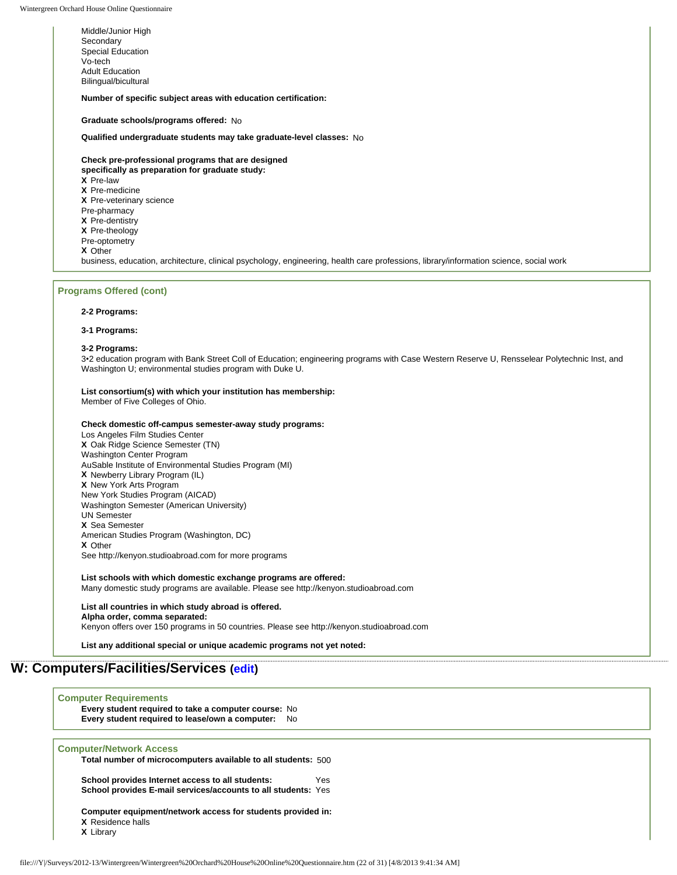Middle/Junior High **Secondary** Special Education Vo-tech Adult Education Bilingual/bicultural

**Number of specific subject areas with education certification:**

**Graduate schools/programs offered:** No

**Qualified undergraduate students may take graduate-level classes:** No

**Check pre-professional programs that are designed specifically as preparation for graduate study: X** Pre-law **X** Pre-medicine **X** Pre-veterinary science Pre-pharmacy **X** Pre-dentistry **X** Pre-theology Pre-optometry **X** Other business, education, architecture, clinical psychology, engineering, health care professions, library/information science, social work

#### **Programs Offered (cont)**

#### **2-2 Programs:**

**3-1 Programs:** 

#### **3-2 Programs:**

3•2 education program with Bank Street Coll of Education; engineering programs with Case Western Reserve U, Rensselear Polytechnic Inst, and Washington U; environmental studies program with Duke U.

#### **List consortium(s) with which your institution has membership:**  Member of Five Colleges of Ohio.

#### **Check domestic off-campus semester-away study programs:**

Los Angeles Film Studies Center **X** Oak Ridge Science Semester (TN) Washington Center Program AuSable Institute of Environmental Studies Program (MI) **X** Newberry Library Program (IL) **X** New York Arts Program New York Studies Program (AICAD) Washington Semester (American University) UN Semester **X** Sea Semester American Studies Program (Washington, DC) **X** Other See http://kenyon.studioabroad.com for more programs

#### **List schools with which domestic exchange programs are offered:**

Many domestic study programs are available. Please see http://kenyon.studioabroad.com

## **List all countries in which study abroad is offered. Alpha order, comma separated:**

Kenyon offers over 150 programs in 50 countries. Please see http://kenyon.studioabroad.com

**List any additional special or unique academic programs not yet noted:** 

## **W: Computers/Facilities/Services ([edit](http://survey.wgoh.com/secure/sectionWView.htm))**

#### **Computer Requirements**

**Every student required to take a computer course:** No **Every student required to lease/own a computer:** No

#### **Computer/Network Access**

**Total number of microcomputers available to all students:** 500

**School provides Internet access to all students:** Yes **School provides E-mail services/accounts to all students:** Yes

**Computer equipment/network access for students provided in: X** Residence halls

**X** Library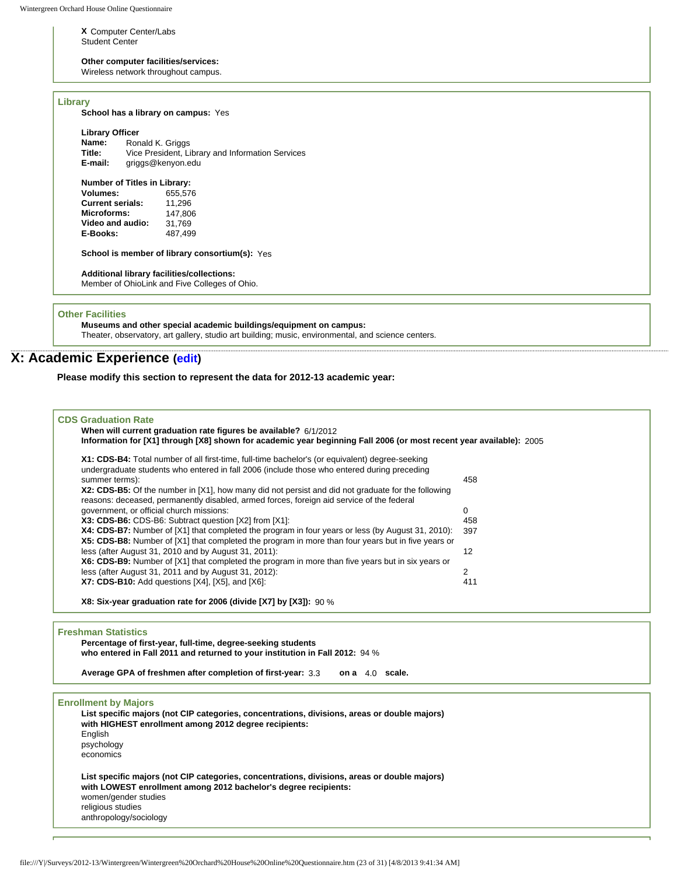**X** Computer Center/Labs Student Center

### **Other computer facilities/services:**

Wireless network throughout campus.

### **Library**

| <b>Library Officer</b>  |                                     |                                                       |
|-------------------------|-------------------------------------|-------------------------------------------------------|
| Name:                   |                                     | Ronald K. Griggs                                      |
| Title:                  |                                     | Vice President, Library and Information Services      |
| E-mail:                 |                                     | griggs@kenyon.edu                                     |
|                         | <b>Number of Titles in Library:</b> |                                                       |
| Volumes:                |                                     | 655,576                                               |
| <b>Current serials:</b> |                                     | 11,296                                                |
| Microforms:             |                                     | 147,806                                               |
|                         | Video and audio:                    | 31,769                                                |
| E-Books:                |                                     | 487,499                                               |
|                         |                                     | <b>School is member of library consortium(s):</b> Yes |
|                         |                                     | <b>Additional library facilities/collections:</b>     |
|                         |                                     | Member of OhioLink and Five Colleges of Ohio.         |

### **Other Facilities**

**Museums and other special academic buildings/equipment on campus:**  Theater, observatory, art gallery, studio art building; music, environmental, and science centers.

## **X: Academic Experience [\(edit\)](http://survey.wgoh.com/secure/sectionXView.htm)**

**Please modify this section to represent the data for 2012-13 academic year:** 

#### **CDS Graduation Rate**

## **When will current graduation rate figures be available?** 6/1/2012

**Information for [X1] through [X8] shown for academic year beginning Fall 2006 (or most recent year available):** 2005 **X1: CDS-B4:** Total number of all first-time, full-time bachelor's (or equivalent) degree-seeking undergraduate students who entered in fall 2006 (include those who entered during preceding summer terms): 458 **X2: CDS-B5:** Of the number in [X1], how many did not persist and did not graduate for the following reasons: deceased, permanently disabled, armed forces, foreign aid service of the federal government, or official church missions: 0<br> **X3: CDS-B6:** CDS-B6: Subtract question IX21 from IX11: 0 0 0 458 **X3: CDS-B6:** CDS-B6: Subtract question [X2] from [X1]:<br>**X4: CDS-B7:** Number of [X1] that completed the program in four years or less (by August 31, 2010): 397 **X4: CDS-B7:** Number of [X1] that completed the program in four years or less (by August 31, 2010): **X5: CDS-B8:** Number of [X1] that completed the program in more than four years but in five years or less (after August 31, 2010 and by August 31, 2011): 12 **X6: CDS-B9:** Number of [X1] that completed the program in more than five years but in six years or less (after August 31, 2011 and by August 31, 2012): 2 **X7: CDS-B10:** Add questions [X4], [X5], and [X6]: 411

**X8: Six-year graduation rate for 2006 (divide [X7] by [X3]):** 90 %

#### **Freshman Statistics**

**Percentage of first-year, full-time, degree-seeking students who entered in Fall 2011 and returned to your institution in Fall 2012:** 94 %

**Average GPA of freshmen after completion of first-year:** 3.3 **on a** 4.0 **scale.**

## **Enrollment by Majors**

| List specific majors (not CIP categories, concentrations, divisions, areas or double majors)<br>with HIGHEST enrollment among 2012 degree recipients:           |
|-----------------------------------------------------------------------------------------------------------------------------------------------------------------|
| English<br>psychology                                                                                                                                           |
| economics                                                                                                                                                       |
| List specific majors (not CIP categories, concentrations, divisions, areas or double majors)<br>with LOWEST enrollment among 2012 bachelor's degree recipients: |
| women/gender studies                                                                                                                                            |
| religious studies<br>anthropology/sociology                                                                                                                     |
|                                                                                                                                                                 |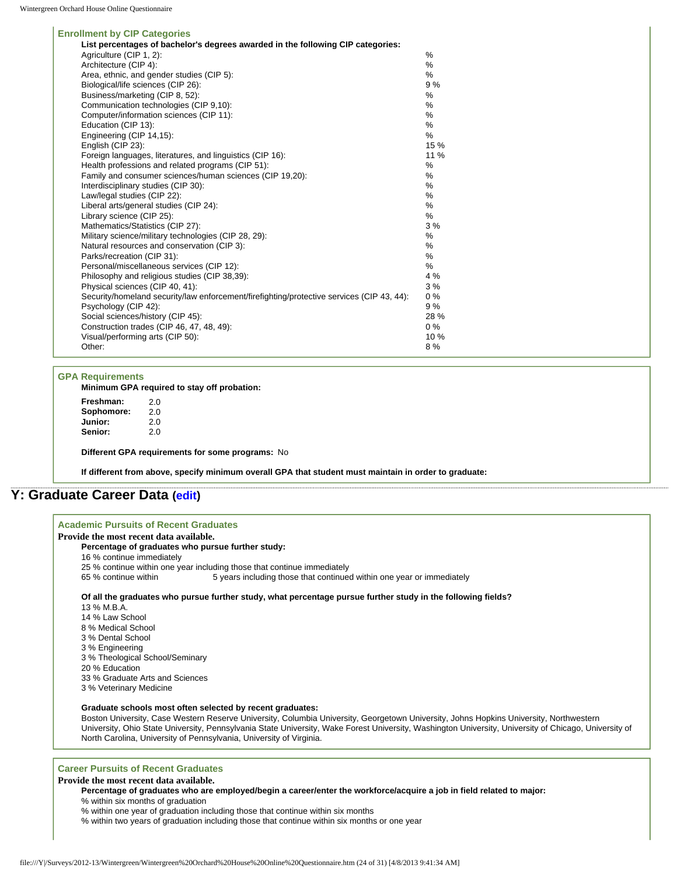#### **Enrollment by CIP Categories**

| <b>HOMMETIC DY OIF CALCYCHES</b>                                                          |       |
|-------------------------------------------------------------------------------------------|-------|
| List percentages of bachelor's degrees awarded in the following CIP categories:           |       |
| Agriculture (CIP 1, 2):                                                                   | $\%$  |
| Architecture (CIP 4):                                                                     | %     |
| Area, ethnic, and gender studies (CIP 5):                                                 | %     |
| Biological/life sciences (CIP 26):                                                        | 9%    |
| Business/marketing (CIP 8, 52):                                                           | %     |
| Communication technologies (CIP 9,10):                                                    | %     |
| Computer/information sciences (CIP 11):                                                   | %     |
| Education (CIP 13):                                                                       | %     |
| Engineering (CIP 14,15):                                                                  | %     |
| English (CIP 23):                                                                         | 15 %  |
| Foreign languages, literatures, and linguistics (CIP 16):                                 | 11 %  |
| Health professions and related programs (CIP 51):                                         | %     |
| Family and consumer sciences/human sciences (CIP 19.20):                                  | %     |
| Interdisciplinary studies (CIP 30):                                                       | %     |
| Law/legal studies (CIP 22):                                                               | %     |
| Liberal arts/general studies (CIP 24):                                                    | %     |
| Library science (CIP 25):                                                                 | %     |
| Mathematics/Statistics (CIP 27):                                                          | 3%    |
| Military science/military technologies (CIP 28, 29):                                      | %     |
| Natural resources and conservation (CIP 3):                                               | %     |
| Parks/recreation (CIP 31):                                                                | %     |
| Personal/miscellaneous services (CIP 12):                                                 | %     |
| Philosophy and religious studies (CIP 38,39):                                             | 4 %   |
| Physical sciences (CIP 40, 41):                                                           | 3%    |
| Security/homeland security/law enforcement/firefighting/protective services (CIP 43, 44): | $0\%$ |
| Psychology (CIP 42):                                                                      | 9 %   |
| Social sciences/history (CIP 45):                                                         | 28 %  |
| Construction trades (CIP 46, 47, 48, 49):                                                 | $0\%$ |
| Visual/performing arts (CIP 50):                                                          | 10 %  |
| Other:                                                                                    | 8%    |
|                                                                                           |       |

#### **GPA Requirements**

**Minimum GPA required to stay off probation:**

| Freshman:      | 2.0 |
|----------------|-----|
| Sophomore:     | 2.0 |
| Junior:        | 2.0 |
| <b>Senior:</b> | 2.0 |

**Different GPA requirements for some programs:** No

**If different from above, specify minimum overall GPA that student must maintain in order to graduate:**

## **Y: Graduate Career Data [\(edit\)](http://survey.wgoh.com/secure/sectionYView.htm)**

### **Academic Pursuits of Recent Graduates Provide the most recent data available.**

## **Percentage of graduates who pursue further study:**

- 16 % continue immediately
- 25 % continue within one year including those that continue immediately
- 65 % continue within 5 years including those that continued within one year or immediately

#### **Of all the graduates who pursue further study, what percentage pursue further study in the following fields?**

13 % M.B.A. 14 % Law School 8 % Medical School 3 % Dental School 3 % Engineering 3 % Theological School/Seminary 20 % Education 33 % Graduate Arts and Sciences 3 % Veterinary Medicine

#### **Graduate schools most often selected by recent graduates:**

Boston University, Case Western Reserve University, Columbia University, Georgetown University, Johns Hopkins University, Northwestern University, Ohio State University, Pennsylvania State University, Wake Forest University, Washington University, University of Chicago, University of North Carolina, University of Pennsylvania, University of Virginia.

#### **Career Pursuits of Recent Graduates**

### **Provide the most recent data available.**

**Percentage of graduates who are employed/begin a career/enter the workforce/acquire a job in field related to major:**

% within six months of graduation

% within one year of graduation including those that continue within six months

% within two years of graduation including those that continue within six months or one year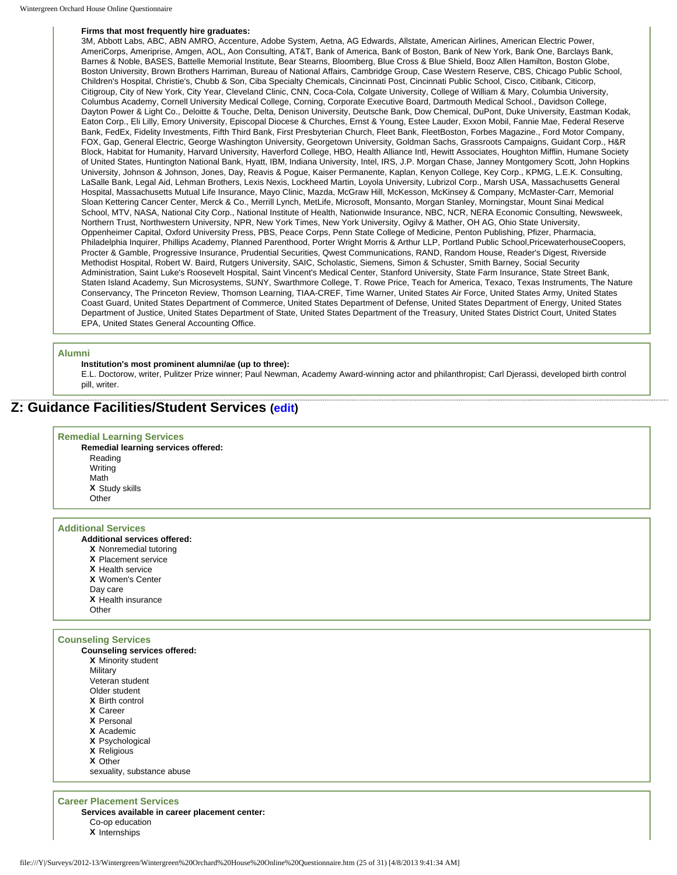#### **Firms that most frequently hire graduates:**

3M, Abbott Labs, ABC, ABN AMRO, Accenture, Adobe System, Aetna, AG Edwards, Allstate, American Airlines, American Electric Power, AmeriCorps, Ameriprise, Amgen, AOL, Aon Consulting, AT&T, Bank of America, Bank of Boston, Bank of New York, Bank One, Barclays Bank, Barnes & Noble, BASES, Battelle Memorial Institute, Bear Stearns, Bloomberg, Blue Cross & Blue Shield, Booz Allen Hamilton, Boston Globe, Boston University, Brown Brothers Harriman, Bureau of National Affairs, Cambridge Group, Case Western Reserve, CBS, Chicago Public School, Children's Hospital, Christie's, Chubb & Son, Ciba Specialty Chemicals, Cincinnati Post, Cincinnati Public School, Cisco, Citibank, Citicorp, Citigroup, City of New York, City Year, Cleveland Clinic, CNN, Coca-Cola, Colgate University, College of William & Mary, Columbia University, Columbus Academy, Cornell University Medical College, Corning, Corporate Executive Board, Dartmouth Medical School., Davidson College, Dayton Power & Light Co., Deloitte & Touche, Delta, Denison University, Deutsche Bank, Dow Chemical, DuPont, Duke University, Eastman Kodak, Eaton Corp., Eli Lilly, Emory University, Episcopal Diocese & Churches, Ernst & Young, Estee Lauder, Exxon Mobil, Fannie Mae, Federal Reserve Bank, FedEx, Fidelity Investments, Fifth Third Bank, First Presbyterian Church, Fleet Bank, FleetBoston, Forbes Magazine., Ford Motor Company, FOX, Gap, General Electric, George Washington University, Georgetown University, Goldman Sachs, Grassroots Campaigns, Guidant Corp., H&R Block, Habitat for Humanity, Harvard University, Haverford College, HBO, Health Alliance Intl, Hewitt Associates, Houghton Mifflin, Humane Society of United States, Huntington National Bank, Hyatt, IBM, Indiana University, Intel, IRS, J.P. Morgan Chase, Janney Montgomery Scott, John Hopkins University, Johnson & Johnson, Jones, Day, Reavis & Pogue, Kaiser Permanente, Kaplan, Kenyon College, Key Corp., KPMG, L.E.K. Consulting, LaSalle Bank, Legal Aid, Lehman Brothers, Lexis Nexis, Lockheed Martin, Loyola University, Lubrizol Corp., Marsh USA, Massachusetts General Hospital, Massachusetts Mutual Life Insurance, Mayo Clinic, Mazda, McGraw Hill, McKesson, McKinsey & Company, McMaster-Carr, Memorial Sloan Kettering Cancer Center, Merck & Co., Merrill Lynch, MetLife, Microsoft, Monsanto, Morgan Stanley, Morningstar, Mount Sinai Medical School, MTV, NASA, National City Corp., National Institute of Health, Nationwide Insurance, NBC, NCR, NERA Economic Consulting, Newsweek, Northern Trust, Northwestern University, NPR, New York Times, New York University, Ogilvy & Mather, OH AG, Ohio State University, Oppenheimer Capital, Oxford University Press, PBS, Peace Corps, Penn State College of Medicine, Penton Publishing, Pfizer, Pharmacia, Philadelphia Inquirer, Phillips Academy, Planned Parenthood, Porter Wright Morris & Arthur LLP, Portland Public School,PricewaterhouseCoopers, Procter & Gamble, Progressive Insurance, Prudential Securities, Qwest Communications, RAND, Random House, Reader's Digest, Riverside Methodist Hospital, Robert W. Baird, Rutgers University, SAIC, Scholastic, Siemens, Simon & Schuster, Smith Barney, Social Security Administration, Saint Luke's Roosevelt Hospital, Saint Vincent's Medical Center, Stanford University, State Farm Insurance, State Street Bank, Staten Island Academy, Sun Microsystems, SUNY, Swarthmore College, T. Rowe Price, Teach for America, Texaco, Texas Instruments, The Nature Conservancy, The Princeton Review, Thomson Learning, TIAA-CREF, Time Warner, United States Air Force, United States Army, United States Coast Guard, United States Department of Commerce, United States Department of Defense, United States Department of Energy, United States Department of Justice, United States Department of State, United States Department of the Treasury, United States District Court, United States EPA, United States General Accounting Office.

#### **Alumni**

### **Institution's most prominent alumni/ae (up to three):**

E.L. Doctorow, writer, Pulitzer Prize winner; Paul Newman, Academy Award-winning actor and philanthropist; Carl Djerassi, developed birth control pill, writer.

## **Z: Guidance Facilities/Student Services ([edit](http://survey.wgoh.com/secure/sectionZView.htm))**

#### **Remedial Learning Services**

**Remedial learning services offered:** Reading Writing Math **X** Study skills **Other** 

#### **Additional Services**

- **Additional services offered:**
	- **X** Nonremedial tutoring
	- **X** Placement service
	- **X** Health service
	- **X** Women's Center
	- Day care
	- **X** Health insurance
	- **Other**

#### **Counseling Services Counseling services offered:**

| oodnaemig aervicea onered. |
|----------------------------|
| X Minority student         |
| Military                   |
| Veteran student            |
| Older student              |
| X Birth control            |
| X Career                   |
| X Personal                 |
| X Academic                 |
| X Psychological            |
| X Religious                |
| X Other                    |
| sexuality, substance abuse |

### **Career Placement Services**

**Services available in career placement center:** Co-op education **X** Internships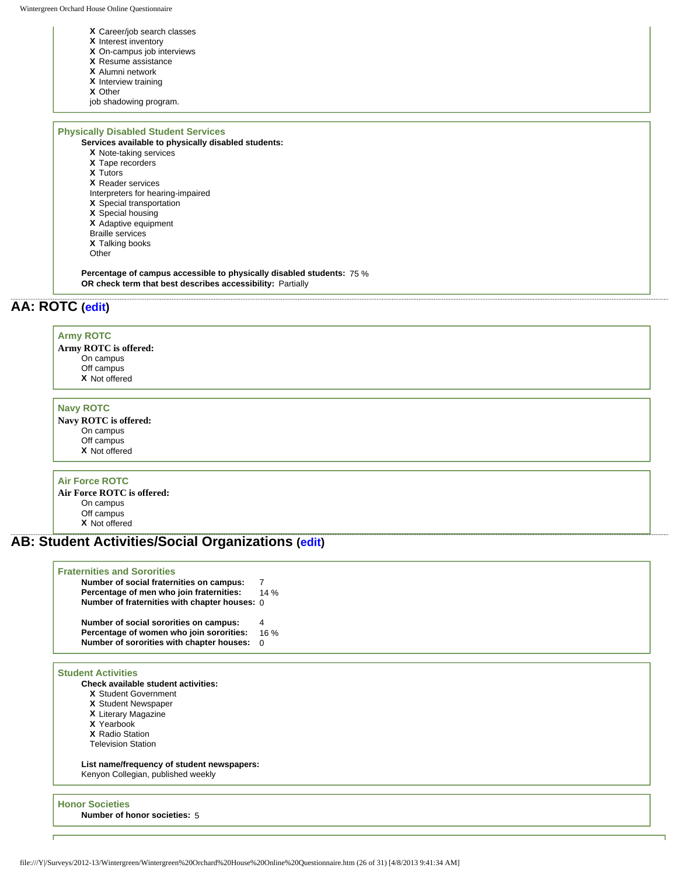- **X** Career/job search classes
- **X** Interest inventory
- **X** On-campus job interviews
- **X** Resume assistance
- **X** Alumni network
- **X** Interview training
- **X** Other

job shadowing program.

## **Physically Disabled Student Services**

- **Services available to physically disabled students:**
	- **X** Note-taking services
	- **X** Tape recorders
	- **X** Tutors
	- **X** Reader services

Interpreters for hearing-impaired

- **X** Special transportation
- **X** Special housing
- **X** Adaptive equipment
- Braille services **X** Talking books
- 

Other

**Percentage of campus accessible to physically disabled students:** 75 % **OR check term that best describes accessibility:** Partially

## **AA: ROTC [\(edit\)](http://survey.wgoh.com/secure/sectionAAView.htm)**

#### **Army ROTC**

**Army ROTC is offered:** On campus Off campus **X** Not offered

#### **Navy ROTC**

**Navy ROTC is offered:** On campus Off campus **X** Not offered

### **Air Force ROTC**

**Air Force ROTC is offered:** On campus Off campus **X** Not offered

## **AB: Student Activities/Social Organizations ([edit](http://survey.wgoh.com/secure/sectionABView.htm))**

### **Fraternities and Sororities**

| Number of social fraternities on campus:      |     |
|-----------------------------------------------|-----|
| Percentage of men who join fraternities:      | 14% |
| Number of fraternities with chapter houses: 0 |     |
|                                               |     |
| Number of social sororities on campus:        | 4   |
| Percentage of women who join sororities:      | 16% |
| Number of sororities with chapter houses:     | 0   |

### **Student Activities**

**Check available student activities:**

- **X** Student Government
- **X** Student Newspaper
- **X** Literary Magazine
- **X** Yearbook
- **X** Radio Station
- Television Station

**List name/frequency of student newspapers:**  Kenyon Collegian, published weekly

**Honor Societies Number of honor societies:** 5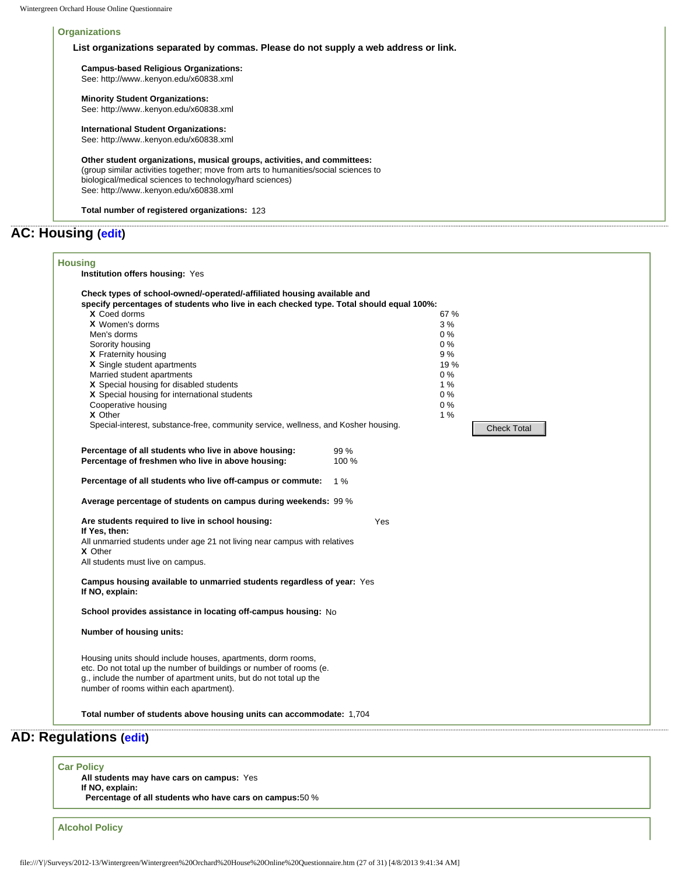### **Organizations**

## **List organizations separated by commas. Please do not supply a web address or link.**

**Campus-based Religious Organizations:**  See: http://www..kenyon.edu/x60838.xml

**Minority Student Organizations:** 

See: http://www..kenyon.edu/x60838.xml

### **International Student Organizations:**

See: http://www..kenyon.edu/x60838.xml

**Other student organizations, musical groups, activities, and committees:**  (group similar activities together; move from arts to humanities/social sciences to biological/medical sciences to technology/hard sciences) See: http://www..kenyon.edu/x60838.xml

**Total number of registered organizations:** 123

## **AC: Housing [\(edit](http://survey.wgoh.com/secure/sectionACView.htm))**

| All students may have cars on campus: Yes<br>If NO, explain:<br>Percentage of all students who have cars on campus: 50 %                                                      |                                                                                                                                                        |                                                                                                                                                                                                                                                                                                                                                                                                                                                                                                                                   |                                                                                                                       |
|-------------------------------------------------------------------------------------------------------------------------------------------------------------------------------|--------------------------------------------------------------------------------------------------------------------------------------------------------|-----------------------------------------------------------------------------------------------------------------------------------------------------------------------------------------------------------------------------------------------------------------------------------------------------------------------------------------------------------------------------------------------------------------------------------------------------------------------------------------------------------------------------------|-----------------------------------------------------------------------------------------------------------------------|
| D: Regulations (edit)                                                                                                                                                         |                                                                                                                                                        |                                                                                                                                                                                                                                                                                                                                                                                                                                                                                                                                   |                                                                                                                       |
|                                                                                                                                                                               |                                                                                                                                                        |                                                                                                                                                                                                                                                                                                                                                                                                                                                                                                                                   |                                                                                                                       |
| Housing units should include houses, apartments, dorm rooms,<br>g., include the number of apartment units, but do not total up the<br>number of rooms within each apartment). |                                                                                                                                                        |                                                                                                                                                                                                                                                                                                                                                                                                                                                                                                                                   |                                                                                                                       |
| Number of housing units:                                                                                                                                                      |                                                                                                                                                        |                                                                                                                                                                                                                                                                                                                                                                                                                                                                                                                                   |                                                                                                                       |
|                                                                                                                                                                               |                                                                                                                                                        |                                                                                                                                                                                                                                                                                                                                                                                                                                                                                                                                   |                                                                                                                       |
| If NO, explain:                                                                                                                                                               |                                                                                                                                                        |                                                                                                                                                                                                                                                                                                                                                                                                                                                                                                                                   |                                                                                                                       |
| X Other<br>All students must live on campus.                                                                                                                                  |                                                                                                                                                        |                                                                                                                                                                                                                                                                                                                                                                                                                                                                                                                                   |                                                                                                                       |
| Are students required to live in school housing:<br>If Yes, then:                                                                                                             | Yes                                                                                                                                                    |                                                                                                                                                                                                                                                                                                                                                                                                                                                                                                                                   |                                                                                                                       |
|                                                                                                                                                                               |                                                                                                                                                        |                                                                                                                                                                                                                                                                                                                                                                                                                                                                                                                                   |                                                                                                                       |
| Percentage of all students who live off-campus or commute:                                                                                                                    |                                                                                                                                                        |                                                                                                                                                                                                                                                                                                                                                                                                                                                                                                                                   |                                                                                                                       |
| Percentage of all students who live in above housing:<br>Percentage of freshmen who live in above housing:                                                                    | 99 %<br>100 %                                                                                                                                          |                                                                                                                                                                                                                                                                                                                                                                                                                                                                                                                                   |                                                                                                                       |
|                                                                                                                                                                               |                                                                                                                                                        | <b>Check Total</b>                                                                                                                                                                                                                                                                                                                                                                                                                                                                                                                |                                                                                                                       |
| Cooperative housing                                                                                                                                                           |                                                                                                                                                        | $0\%$                                                                                                                                                                                                                                                                                                                                                                                                                                                                                                                             |                                                                                                                       |
| X Special housing for disabled students                                                                                                                                       |                                                                                                                                                        | 1%                                                                                                                                                                                                                                                                                                                                                                                                                                                                                                                                |                                                                                                                       |
| X Single student apartments                                                                                                                                                   |                                                                                                                                                        | 19 %                                                                                                                                                                                                                                                                                                                                                                                                                                                                                                                              |                                                                                                                       |
| Sorority housing<br>X Fraternity housing                                                                                                                                      |                                                                                                                                                        | $0\%$<br>9 %                                                                                                                                                                                                                                                                                                                                                                                                                                                                                                                      |                                                                                                                       |
| Men's dorms                                                                                                                                                                   |                                                                                                                                                        | $0\%$                                                                                                                                                                                                                                                                                                                                                                                                                                                                                                                             |                                                                                                                       |
| X Coed dorms                                                                                                                                                                  |                                                                                                                                                        | 67 %                                                                                                                                                                                                                                                                                                                                                                                                                                                                                                                              |                                                                                                                       |
|                                                                                                                                                                               | X Women's dorms<br>Married student apartments<br>X Special housing for international students<br>X Other<br><b>Car Policy</b><br><b>Alcohol Policy</b> | Special-interest, substance-free, community service, wellness, and Kosher housing.<br>1 %<br>Average percentage of students on campus during weekends: 99 %<br>All unmarried students under age 21 not living near campus with relatives<br>Campus housing available to unmarried students regardless of year: Yes<br>School provides assistance in locating off-campus housing: No<br>etc. Do not total up the number of buildings or number of rooms (e.<br>Total number of students above housing units can accommodate: 1,704 | specify percentages of students who live in each checked type. Total should equal 100%:<br>3%<br>$0\%$<br>$0\%$<br>1% |

**AD: Regulations ([edit](http://survey.wgoh.com/secure/sectionADView.htm))**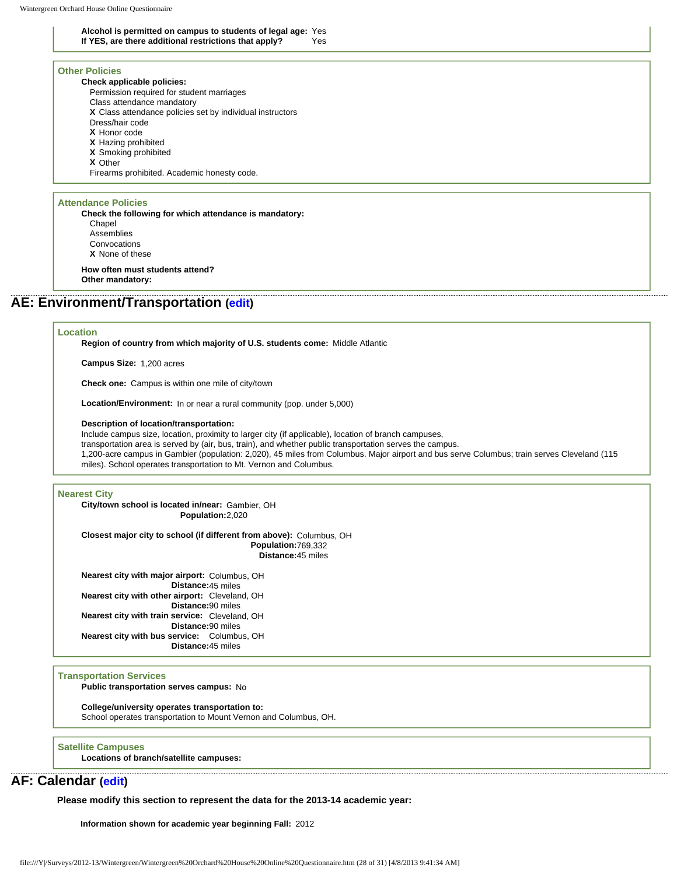**Alcohol is permitted on campus to students of legal age:** Yes If YES, are there additional restrictions that apply?

### **Other Policies**

**Check applicable policies:** Permission required for student marriages Class attendance mandatory **X** Class attendance policies set by individual instructors Dress/hair code **X** Honor code **X** Hazing prohibited **X** Smoking prohibited **X** Other Firearms prohibited. Academic honesty code.

#### **Attendance Policies**

**Check the following for which attendance is mandatory: Chapel** Assemblies Convocations **X** None of these **How often must students attend?** 

**Other mandatory:** 

## **AE: Environment/Transportation [\(edit\)](http://survey.wgoh.com/secure/sectionAEView.htm)**

### **Location**

**Region of country from which majority of U.S. students come:** Middle Atlantic

**Campus Size:** 1,200 acres

**Check one:** Campus is within one mile of city/town

**Location/Environment:** In or near a rural community (pop. under 5,000)

#### **Description of location/transportation:**

Include campus size, location, proximity to larger city (if applicable), location of branch campuses, transportation area is served by (air, bus, train), and whether public transportation serves the campus. 1,200-acre campus in Gambier (population: 2,020), 45 miles from Columbus. Major airport and bus serve Columbus; train serves Cleveland (115 miles). School operates transportation to Mt. Vernon and Columbus.

#### **Nearest City**

**City/town school is located in/near:** Gambier, OH **Population:**2,020

**Closest major city to school (if different from above):** Columbus, OH **Population:**769,332 **Distance:**45 miles

**Nearest city with major airport:** Columbus, OH **Distance:**45 miles **Nearest city with other airport:** Cleveland, OH **Distance:**90 miles **Nearest city with train service:** Cleveland, OH **Distance:**90 miles **Nearest city with bus service:** Columbus, OH **Distance:**45 miles

#### **Transportation Services**

**Public transportation serves campus:** No

#### **College/university operates transportation to:**

School operates transportation to Mount Vernon and Columbus, OH.

#### **Satellite Campuses**

**Locations of branch/satellite campuses:**

## **AF: Calendar ([edit](http://survey.wgoh.com/secure/sectionAFView.htm))**

**Please modify this section to represent the data for the 2013-14 academic year:** 

**Information shown for academic year beginning Fall:** 2012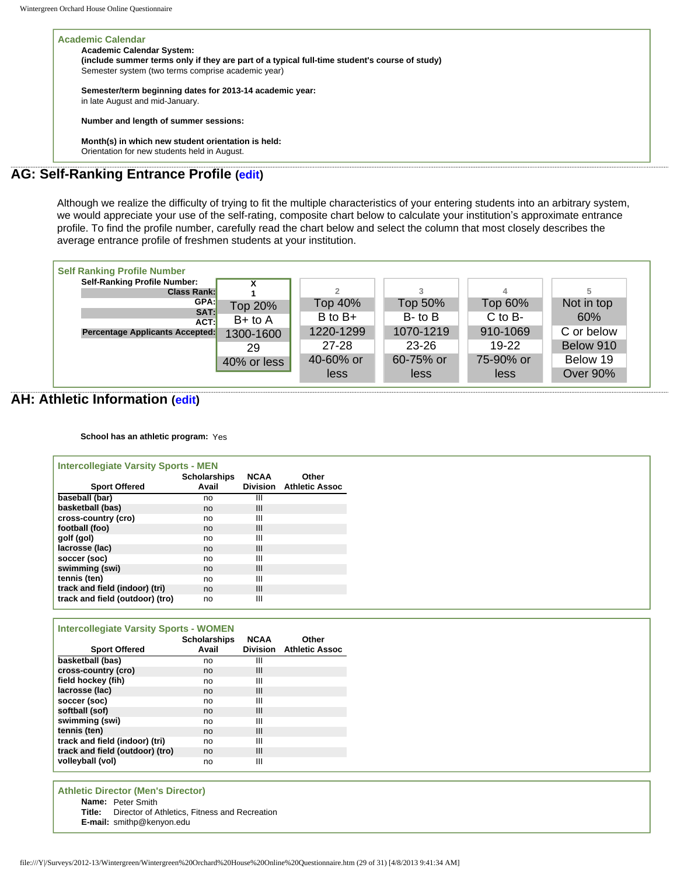| <b>Academic Calendar</b>                                                                      |
|-----------------------------------------------------------------------------------------------|
| <b>Academic Calendar System:</b>                                                              |
| (include summer terms only if they are part of a typical full-time student's course of study) |
| Semester system (two terms comprise academic year)                                            |
| Semester/term beginning dates for 2013-14 academic year:                                      |
| in late August and mid-January.                                                               |
| Number and length of summer sessions:                                                         |
| Month(s) in which new student orientation is held:                                            |
| Orientation for new students held in August.                                                  |
| <b>AG: Self-Ranking Entrance Profile (edit)</b>                                               |
|                                                                                               |

Although we realize the difficulty of trying to fit the multiple characteristics of your entering students into an arbitrary system, we would appreciate your use of the self-rating, composite chart below to calculate your institution's approximate entrance profile. To find the profile number, carefully read the chart below and select the column that most closely describes the average entrance profile of freshmen students at your institution.

| <b>Self Ranking Profile Number</b>  |             |             |              |             |                 |
|-------------------------------------|-------------|-------------|--------------|-------------|-----------------|
| <b>Self-Ranking Profile Number:</b> |             |             |              |             |                 |
| <b>Class Rank:</b>                  |             |             |              | 4           |                 |
| GPA:                                | Top 20%     | Top 40%     | Top 50%      | Top 60%     | Not in top      |
| SAT:<br>ACT:                        | $B+$ to A   | $B$ to $B+$ | $B$ - to $B$ | $C$ to $B-$ | 60%             |
| Percentage Applicants Accepted:     | 1300-1600   | 1220-1299   | 1070-1219    | 910-1069    | C or below      |
|                                     | 29          | 27-28       | $23 - 26$    | $19-22$     | Below 910       |
|                                     | 40% or less | 40-60% or   | 60-75% or    | 75-90% or   | Below 19        |
|                                     |             | less        | less         | less        | <b>Over 90%</b> |

## **AH: Athletic Information ([edit](http://survey.wgoh.com/secure/sectionAHView.htm))**

**School has an athletic program:** Yes

| <b>Intercollegiate Varsity Sports - MEN</b> |                     |                 |                       |
|---------------------------------------------|---------------------|-----------------|-----------------------|
|                                             | <b>Scholarships</b> | <b>NCAA</b>     | Other                 |
| <b>Sport Offered</b>                        | Avail               | <b>Division</b> | <b>Athletic Assoc</b> |
| baseball (bar)                              | no                  | Ш               |                       |
| basketball (bas)                            | no                  | Ш               |                       |
| cross-country (cro)                         | no                  | Ш               |                       |
| football (foo)                              | no                  | Ш               |                       |
| golf (gol)                                  | no                  | Ш               |                       |
| lacrosse (lac)                              | no                  | Ш               |                       |
| soccer (soc)                                | no                  | Ш               |                       |
| swimming (swi)                              | no                  | Ш               |                       |
| tennis (ten)                                | no                  | Ш               |                       |
| track and field (indoor) (tri)              | no                  | III             |                       |
| track and field (outdoor) (tro)             | no                  | Ш               |                       |

## **Intercollegiate Varsity Sports - WOMEN**

| <b>Sport Offered</b>            | <b>Scholarships</b><br>Avail | <b>NCAA</b><br><b>Division</b> | Other<br><b>Athletic Assoc</b> |
|---------------------------------|------------------------------|--------------------------------|--------------------------------|
| basketball (bas)                | no                           | Ш                              |                                |
| cross-country (cro)             | no                           | Ш                              |                                |
| field hockey (fih)              | no                           | Ш                              |                                |
| lacrosse (lac)                  | no                           | Ш                              |                                |
| soccer (soc)                    | no                           | Ш                              |                                |
| softball (sof)                  | no                           | Ш                              |                                |
| swimming (swi)                  | no                           | Ш                              |                                |
| tennis (ten)                    | no                           | Ш                              |                                |
| track and field (indoor) (tri)  | no                           | Ш                              |                                |
| track and field (outdoor) (tro) | no                           | Ш                              |                                |
| volleyball (vol)                | no                           | Ш                              |                                |

**Athletic Director (Men's Director)**

**Name:** Peter Smith

**Title:** Director of Athletics, Fitness and Recreation

**E-mail:** smithp@kenyon.edu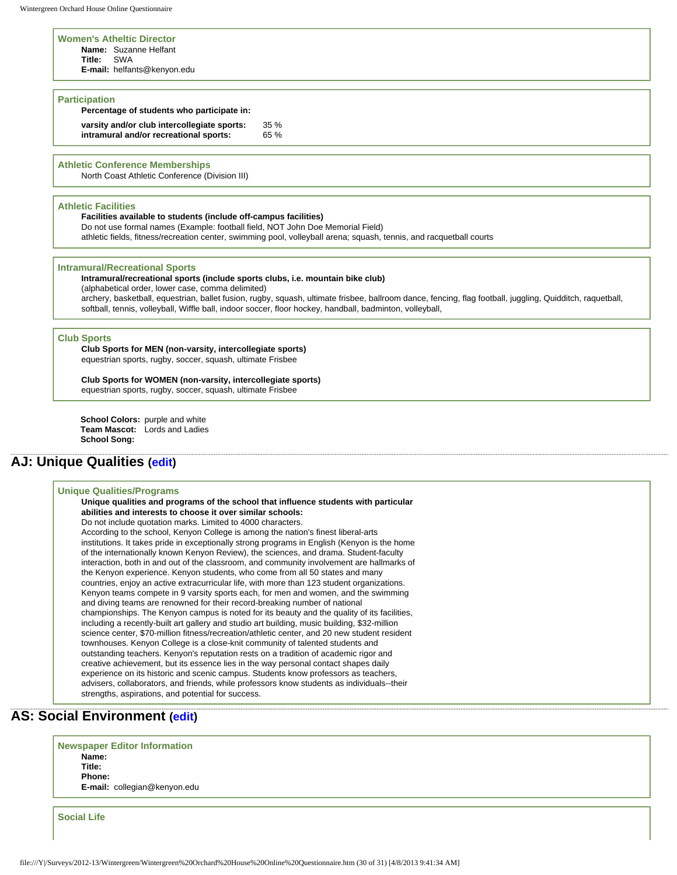#### **Women's Atheltic Director**

**Name:** Suzanne Helfant

**Title:** SWA

**E-mail:** helfants@kenyon.edu

#### **Participation**

**Percentage of students who participate in:**

**varsity and/or club intercollegiate sports:** 35 % **intramural and/or recreational sports:** 65 %

**Athletic Conference Memberships**

North Coast Athletic Conference (Division III)

#### **Athletic Facilities**

**Facilities available to students (include off-campus facilities)**  Do not use formal names (Example: football field, NOT John Doe Memorial Field) athletic fields, fitness/recreation center, swimming pool, volleyball arena; squash, tennis, and racquetball courts

#### **Intramural/Recreational Sports**

**Intramural/recreational sports (include sports clubs, i.e. mountain bike club)** 

(alphabetical order, lower case, comma delimited)

archery, basketball, equestrian, ballet fusion, rugby, squash, ultimate frisbee, ballroom dance, fencing, flag football, juggling, Quidditch, raquetball, softball, tennis, volleyball, Wiffle ball, indoor soccer, floor hockey, handball, badminton, volleyball,

### **Club Sports**

**Club Sports for MEN (non-varsity, intercollegiate sports)**  equestrian sports, rugby, soccer, squash, ultimate Frisbee

**Club Sports for WOMEN (non-varsity, intercollegiate sports)**  equestrian sports, rugby, soccer, squash, ultimate Frisbee

**School Colors:** purple and white **Team Mascot:** Lords and Ladies **School Song:** 

## **AJ: Unique Qualities [\(edit](http://survey.wgoh.com/secure/sectionAJView.htm))**

### **Unique Qualities/Programs**

**Unique qualities and programs of the school that influence students with particular abilities and interests to choose it over similar schools:**  Do not include quotation marks. Limited to 4000 characters. According to the school, Kenyon College is among the nation's finest liberal-arts institutions. It takes pride in exceptionally strong programs in English (Kenyon is the home of the internationally known Kenyon Review), the sciences, and drama. Student-faculty interaction, both in and out of the classroom, and community involvement are hallmarks of the Kenyon experience. Kenyon students, who come from all 50 states and many countries, enjoy an active extracurricular life, with more than 123 student organizations. Kenyon teams compete in 9 varsity sports each, for men and women, and the swimming and diving teams are renowned for their record-breaking number of national championships. The Kenyon campus is noted for its beauty and the quality of its facilities, including a recently-built art gallery and studio art building, music building, \$32-million science center, \$70-million fitness/recreation/athletic center, and 20 new student resident townhouses. Kenyon College is a close-knit community of talented students and outstanding teachers. Kenyon's reputation rests on a tradition of academic rigor and creative achievement, but its essence lies in the way personal contact shapes daily experience on its historic and scenic campus. Students know professors as teachers, advisers, collaborators, and friends, while professors know students as individuals--their strengths, aspirations, and potential for success.

## **AS: Social Environment ([edit](http://survey.wgoh.com/secure/sectionASView.htm))**

**Newspaper Editor Information Name: Title: Phone: E-mail:** collegian@kenyon.edu

**Social Life**